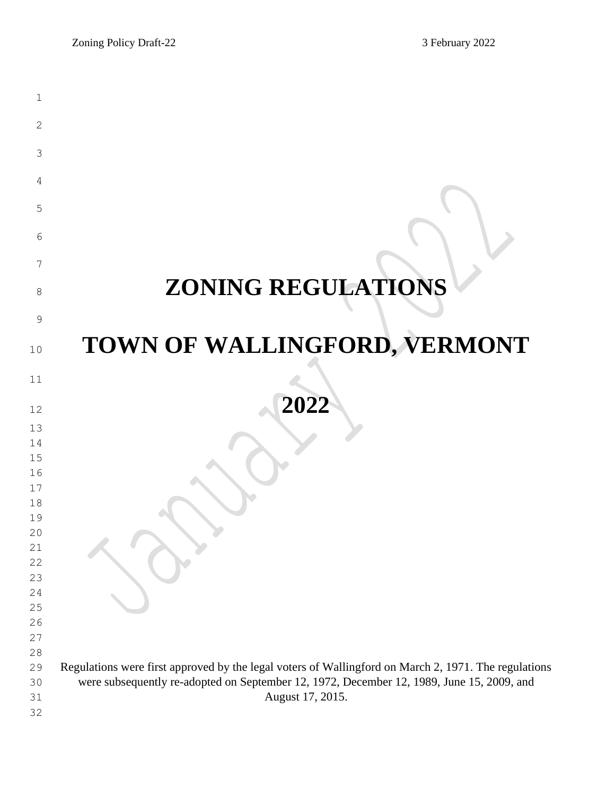| 1             |                                                                                                      |
|---------------|------------------------------------------------------------------------------------------------------|
| 2             |                                                                                                      |
| 3             |                                                                                                      |
| 4             |                                                                                                      |
| 5             |                                                                                                      |
| 6             |                                                                                                      |
|               |                                                                                                      |
| 7             |                                                                                                      |
| 8             | <b>ZONING REGULATIONS</b>                                                                            |
| $\mathcal{G}$ |                                                                                                      |
| 10            | TOWN OF WALLINGFORD, VERMONT                                                                         |
| 11            |                                                                                                      |
|               |                                                                                                      |
| 12            | 2022                                                                                                 |
| 13            |                                                                                                      |
| 14<br>15      |                                                                                                      |
| 16            |                                                                                                      |
| 17            |                                                                                                      |
| 18            |                                                                                                      |
| 19            |                                                                                                      |
| 20            |                                                                                                      |
| 21            |                                                                                                      |
| 22            |                                                                                                      |
| 23            |                                                                                                      |
| 24            |                                                                                                      |
| 25            |                                                                                                      |
| 26            |                                                                                                      |
| 27            |                                                                                                      |
| 28            |                                                                                                      |
| 29            | Regulations were first approved by the legal voters of Wallingford on March 2, 1971. The regulations |
| 30            | were subsequently re-adopted on September 12, 1972, December 12, 1989, June 15, 2009, and            |
| 31            | August 17, 2015.                                                                                     |
| 32            |                                                                                                      |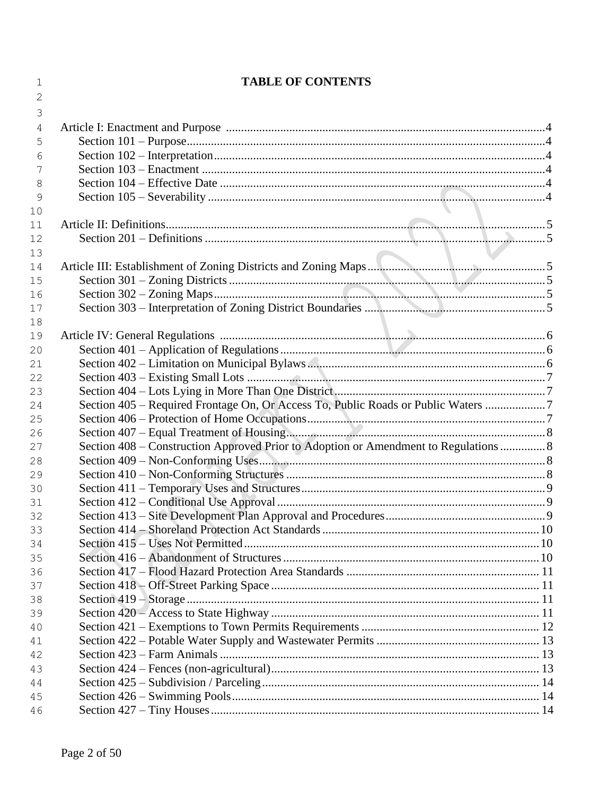| 1  | <b>TABLE OF CONTENTS</b>                                                             |  |
|----|--------------------------------------------------------------------------------------|--|
| 2  |                                                                                      |  |
| 3  |                                                                                      |  |
| 4  |                                                                                      |  |
| 5  |                                                                                      |  |
| 6  |                                                                                      |  |
| 7  |                                                                                      |  |
| 8  |                                                                                      |  |
| 9  |                                                                                      |  |
| 10 |                                                                                      |  |
| 11 |                                                                                      |  |
| 12 |                                                                                      |  |
| 13 |                                                                                      |  |
| 14 |                                                                                      |  |
| 15 |                                                                                      |  |
| 16 |                                                                                      |  |
| 17 |                                                                                      |  |
| 18 |                                                                                      |  |
| 19 |                                                                                      |  |
| 20 |                                                                                      |  |
| 21 |                                                                                      |  |
| 22 |                                                                                      |  |
| 23 |                                                                                      |  |
| 24 | Section 405 - Required Frontage On, Or Access To, Public Roads or Public Waters 7    |  |
| 25 |                                                                                      |  |
| 26 |                                                                                      |  |
| 27 | Section 408 – Construction Approved Prior to Adoption or Amendment to Regulations  8 |  |
| 28 |                                                                                      |  |
| 29 |                                                                                      |  |
| 30 |                                                                                      |  |
| 31 |                                                                                      |  |
| 32 |                                                                                      |  |
| 33 |                                                                                      |  |
| 34 |                                                                                      |  |
| 35 |                                                                                      |  |
| 36 |                                                                                      |  |
| 37 |                                                                                      |  |
| 38 |                                                                                      |  |
| 39 |                                                                                      |  |
| 40 |                                                                                      |  |
| 41 |                                                                                      |  |
| 42 |                                                                                      |  |
| 43 |                                                                                      |  |
| 44 |                                                                                      |  |
| 45 |                                                                                      |  |
| 46 |                                                                                      |  |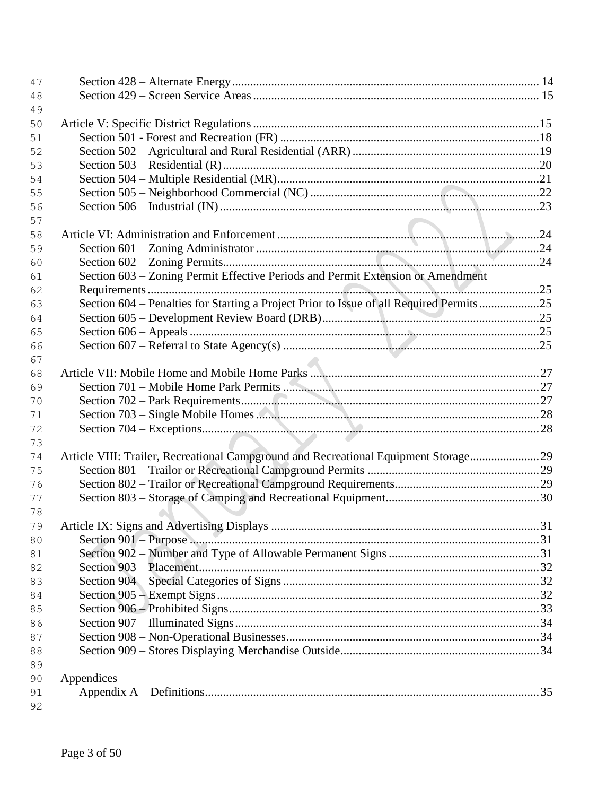| 47 |                                                                                         |  |
|----|-----------------------------------------------------------------------------------------|--|
| 48 |                                                                                         |  |
| 49 |                                                                                         |  |
| 50 |                                                                                         |  |
| 51 |                                                                                         |  |
| 52 |                                                                                         |  |
| 53 |                                                                                         |  |
| 54 |                                                                                         |  |
| 55 |                                                                                         |  |
| 56 |                                                                                         |  |
| 57 |                                                                                         |  |
| 58 |                                                                                         |  |
| 59 |                                                                                         |  |
| 60 |                                                                                         |  |
| 61 | Section 603 – Zoning Permit Effective Periods and Permit Extension or Amendment         |  |
| 62 |                                                                                         |  |
| 63 | Section 604 – Penalties for Starting a Project Prior to Issue of all Required Permits25 |  |
| 64 |                                                                                         |  |
| 65 |                                                                                         |  |
| 66 |                                                                                         |  |
| 67 |                                                                                         |  |
| 68 |                                                                                         |  |
| 69 |                                                                                         |  |
| 70 |                                                                                         |  |
| 71 |                                                                                         |  |
| 72 |                                                                                         |  |
| 73 |                                                                                         |  |
| 74 | Article VIII: Trailer, Recreational Campground and Recreational Equipment Storage 29    |  |
| 75 |                                                                                         |  |
| 76 |                                                                                         |  |
| 77 |                                                                                         |  |
| 78 |                                                                                         |  |
| 79 |                                                                                         |  |
| 80 |                                                                                         |  |
| 81 |                                                                                         |  |
| 82 |                                                                                         |  |
| 83 |                                                                                         |  |
| 84 |                                                                                         |  |
| 85 |                                                                                         |  |
| 86 |                                                                                         |  |
| 87 |                                                                                         |  |
| 88 |                                                                                         |  |
| 89 |                                                                                         |  |
| 90 | Appendices                                                                              |  |
| 91 |                                                                                         |  |
| 92 |                                                                                         |  |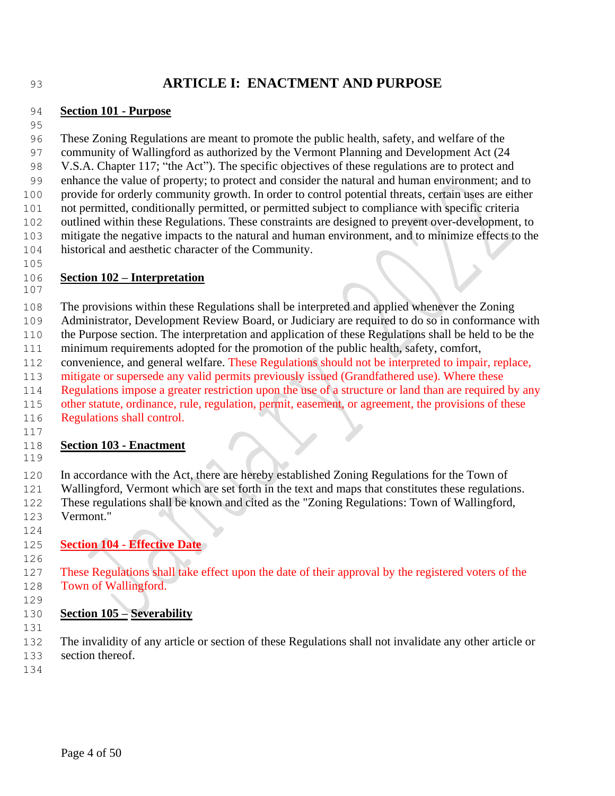# **ARTICLE I: ENACTMENT AND PURPOSE**

#### **Section 101 - Purpose**

 These Zoning Regulations are meant to promote the public health, safety, and welfare of the community of Wallingford as authorized by the Vermont Planning and Development Act (24 V.S.A. Chapter 117; "the Act"). The specific objectives of these regulations are to protect and enhance the value of property; to protect and consider the natural and human environment; and to provide for orderly community growth. In order to control potential threats, certain uses are either not permitted, conditionally permitted, or permitted subject to compliance with specific criteria outlined within these Regulations. These constraints are designed to prevent over-development, to mitigate the negative impacts to the natural and human environment, and to minimize effects to the historical and aesthetic character of the Community. 

## **Section 102 – Interpretation**

The provisions within these Regulations shall be interpreted and applied whenever the Zoning

- Administrator, Development Review Board, or Judiciary are required to do so in conformance with
- the Purpose section. The interpretation and application of these Regulations shall be held to be the
- minimum requirements adopted for the promotion of the public health, safety, comfort,
- convenience, and general welfare. These Regulations should not be interpreted to impair, replace,
- 113 mitigate or supersede any valid permits previously issued (Grandfathered use). Where these
- Regulations impose a greater restriction upon the use of a structure or land than are required by any
- other statute, ordinance, rule, regulation, permit, easement, or agreement, the provisions of these
- Regulations shall control.

## **Section 103 - Enactment**

In accordance with the Act, there are hereby established Zoning Regulations for the Town of

- Wallingford, Vermont which are set forth in the text and maps that constitutes these regulations. These regulations shall be known and cited as the "Zoning Regulations: Town of Wallingford, Vermont."
- **Section 104 - Effective Date**
- These Regulations shall take effect upon the date of their approval by the registered voters of the Town of Wallingford.
- 

## **Section 105 – Severability**

 The invalidity of any article or section of these Regulations shall not invalidate any other article or section thereof.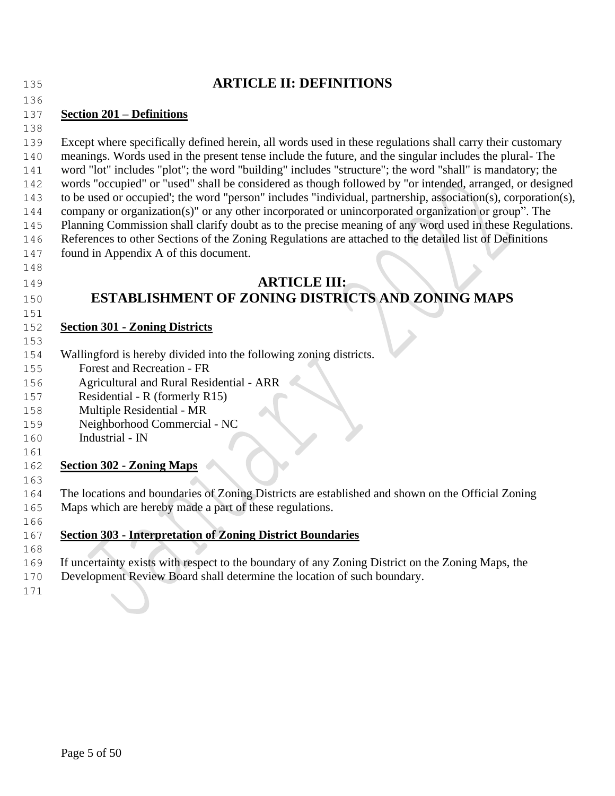| 135        | <b>ARTICLE II: DEFINITIONS</b>                                                                                |
|------------|---------------------------------------------------------------------------------------------------------------|
| 136        |                                                                                                               |
| 137        | <b>Section 201 – Definitions</b>                                                                              |
| 138        |                                                                                                               |
| 139        | Except where specifically defined herein, all words used in these regulations shall carry their customary     |
| 140        | meanings. Words used in the present tense include the future, and the singular includes the plural-The        |
| 141        | word "lot" includes "plot"; the word "building" includes "structure"; the word "shall" is mandatory; the      |
| 142        | words "occupied" or "used" shall be considered as though followed by "or intended, arranged, or designed      |
| 143        | to be used or occupied'; the word "person" includes "individual, partnership, association(s), corporation(s), |
| 144        | company or organization(s)" or any other incorporated or unincorporated organization or group". The           |
| 145        | Planning Commission shall clarify doubt as to the precise meaning of any word used in these Regulations.      |
| 146        | References to other Sections of the Zoning Regulations are attached to the detailed list of Definitions       |
| 147        | found in Appendix A of this document.                                                                         |
| 148        |                                                                                                               |
| 149        | <b>ARTICLE III:</b>                                                                                           |
| 150        | <b>ESTABLISHMENT OF ZONING DISTRICTS AND ZONING MAPS</b>                                                      |
| 151        |                                                                                                               |
| 152        | <b>Section 301 - Zoning Districts</b>                                                                         |
| 153        |                                                                                                               |
| 154        | Wallingford is hereby divided into the following zoning districts.                                            |
| 155        | Forest and Recreation - FR                                                                                    |
| 156        | Agricultural and Rural Residential - ARR                                                                      |
| 157        | Residential - R (formerly R15)                                                                                |
| 158        | Multiple Residential - MR                                                                                     |
| 159<br>160 | Neighborhood Commercial - NC<br>Industrial - IN                                                               |
| 161        |                                                                                                               |
| 162        | <b>Section 302 - Zoning Maps</b>                                                                              |
| 163        |                                                                                                               |
| 164        | The locations and boundaries of Zoning Districts are established and shown on the Official Zoning             |
| 165        | Maps which are hereby made a part of these regulations.                                                       |
| 166        |                                                                                                               |
| 167        | <b>Section 303 - Interpretation of Zoning District Boundaries</b>                                             |
| 168        |                                                                                                               |
| 169        | If uncertainty exists with respect to the boundary of any Zoning District on the Zoning Maps, the             |
| 170        | Development Review Board shall determine the location of such boundary.                                       |
| 171        |                                                                                                               |
|            |                                                                                                               |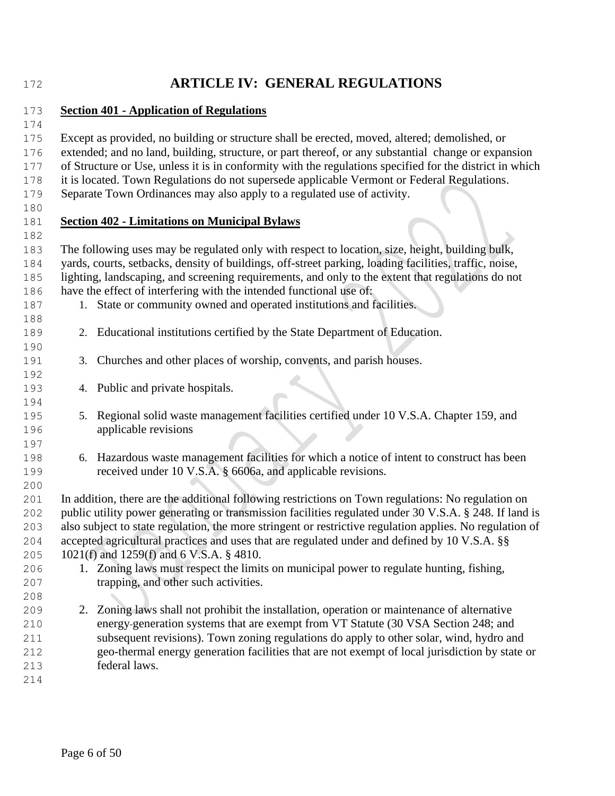# **ARTICLE IV: GENERAL REGULATIONS**

#### **Section 401 - Application of Regulations**

 Except as provided, no building or structure shall be erected, moved, altered; demolished, or extended; and no land, building, structure, or part thereof, or any substantial change or expansion of Structure or Use, unless it is in conformity with the regulations specified for the district in which

- it is located. Town Regulations do not supersede applicable Vermont or Federal Regulations.
- Separate Town Ordinances may also apply to a regulated use of activity.
- 

## **Section 402 - Limitations on Municipal Bylaws**

- The following uses may be regulated only with respect to location, size, height, building bulk, yards, courts, setbacks, density of buildings, off-street parking, loading facilities, traffic, noise, lighting, landscaping, and screening requirements, and only to the extent that regulations do not have the effect of interfering with the intended functional use of:
- 1. State or community owned and operated institutions and facilities.
- 2. Educational institutions certified by the State Department of Education.
- 3. Churches and other places of worship, convents, and parish houses.
- 4. Public and private hospitals.
- 5. Regional solid waste management facilities certified under 10 V.S.A. Chapter 159, and applicable revisions
- 6. Hazardous waste management facilities for which a notice of intent to construct has been received under 10 V.S.A. § 6606a, and applicable revisions.

 In addition, there are the additional following restrictions on Town regulations: No regulation on public utility power generating or transmission facilities regulated under 30 V.S.A. § 248. If land is also subject to state regulation, the more stringent or restrictive regulation applies. No regulation of accepted agricultural practices and uses that are regulated under and defined by 10 V.S.A. §§ 1021(f) and 1259(f) and 6 V.S.A. § 4810.

- 1. Zoning laws must respect the limits on municipal power to regulate hunting, fishing, trapping, and other such activities.
- 2. Zoning laws shall not prohibit the installation, operation or maintenance of alternative energy generation systems that are exempt from VT Statute (30 VSA Section 248; and subsequent revisions). Town zoning regulations do apply to other solar, wind, hydro and geo-thermal energy generation facilities that are not exempt of local jurisdiction by state or federal laws.
-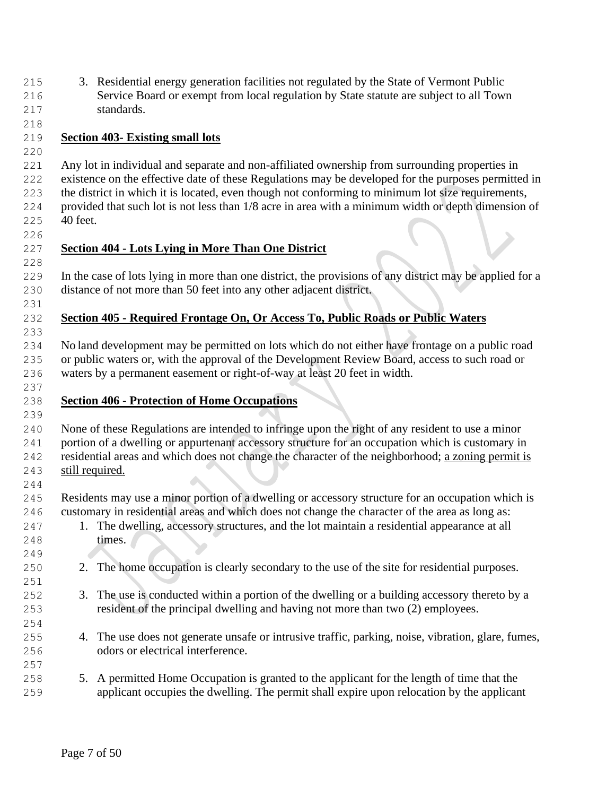3. Residential energy generation facilities not regulated by the State of Vermont Public Service Board or exempt from local regulation by State statute are subject to all Town standards.

## **Section 403- Existing small lots**

 Any lot in individual and separate and non-affiliated ownership from surrounding properties in existence on the effective date of these Regulations may be developed for the purposes permitted in the district in which it is located, even though not conforming to minimum lot size requirements, provided that such lot is not less than 1/8 acre in area with a minimum width or depth dimension of 40 feet.

## **Section 404 - Lots Lying in More Than One District**

 In the case of lots lying in more than one district, the provisions of any district may be applied for a distance of not more than 50 feet into any other adjacent district.

## **Section 405 - Required Frontage On, Or Access To, Public Roads or Public Waters**

 No land development may be permitted on lots which do not either have frontage on a public road or public waters or, with the approval of the Development Review Board, access to such road or waters by a permanent easement or right-of-way at least 20 feet in width.

## **Section 406 - Protection of Home Occupations**

 None of these Regulations are intended to infringe upon the right of any resident to use a minor portion of a dwelling or appurtenant accessory structure for an occupation which is customary in residential areas and which does not change the character of the neighborhood; a zoning permit is still required.

 Residents may use a minor portion of a dwelling or accessory structure for an occupation which is customary in residential areas and which does not change the character of the area as long as:

- 1. The dwelling, accessory structures, and the lot maintain a residential appearance at all **times.**
- 2. The home occupation is clearly secondary to the use of the site for residential purposes.
- 3. The use is conducted within a portion of the dwelling or a building accessory thereto by a resident of the principal dwelling and having not more than two (2) employees.
- 4. The use does not generate unsafe or intrusive traffic, parking, noise, vibration, glare, fumes, odors or electrical interference.
- 5. A permitted Home Occupation is granted to the applicant for the length of time that the applicant occupies the dwelling. The permit shall expire upon relocation by the applicant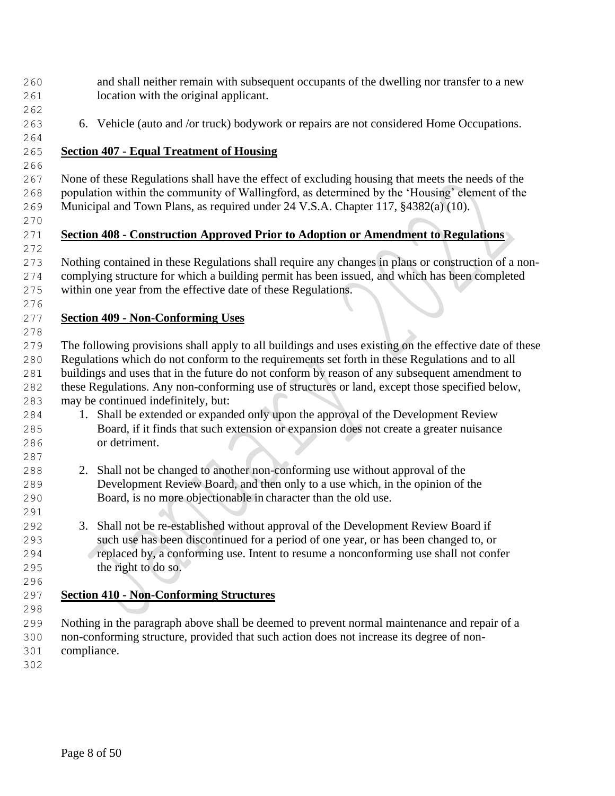- and shall neither remain with subsequent occupants of the dwelling nor transfer to a new location with the original applicant.
- 

6. Vehicle (auto and /or truck) bodywork or repairs are not considered Home Occupations.

## **Section 407 - Equal Treatment of Housing**

 None of these Regulations shall have the effect of excluding housing that meets the needs of the population within the community of Wallingford, as determined by the 'Housing' element of the Municipal and Town Plans, as required under 24 V.S.A. Chapter 117, §4382(a) (10).

# **Section 408 - Construction Approved Prior to Adoption or Amendment to Regulations**

 Nothing contained in these Regulations shall require any changes in plans or construction of a non- complying structure for which a building permit has been issued, and which has been completed within one year from the effective date of these Regulations.

#### **Section 409 - Non-Conforming Uses**

 The following provisions shall apply to all buildings and uses existing on the effective date of these Regulations which do not conform to the requirements set forth in these Regulations and to all buildings and uses that in the future do not conform by reason of any subsequent amendment to these Regulations. Any non-conforming use of structures or land, except those specified below, may be continued indefinitely, but:

- 1. Shall be extended or expanded only upon the approval of the Development Review Board, if it finds that such extension or expansion does not create a greater nuisance or detriment.
- 2. Shall not be changed to another non-conforming use without approval of the Development Review Board, and then only to a use which, in the opinion of the Board, is no more objectionable in character than the old use.
- 3. Shall not be re-established without approval of the Development Review Board if such use has been discontinued for a period of one year, or has been changed to, or replaced by, a conforming use. Intent to resume a nonconforming use shall not confer the right to do so.
- 

# **Section 410 - Non-Conforming Structures**

 Nothing in the paragraph above shall be deemed to prevent normal maintenance and repair of a non-conforming structure, provided that such action does not increase its degree of non-compliance.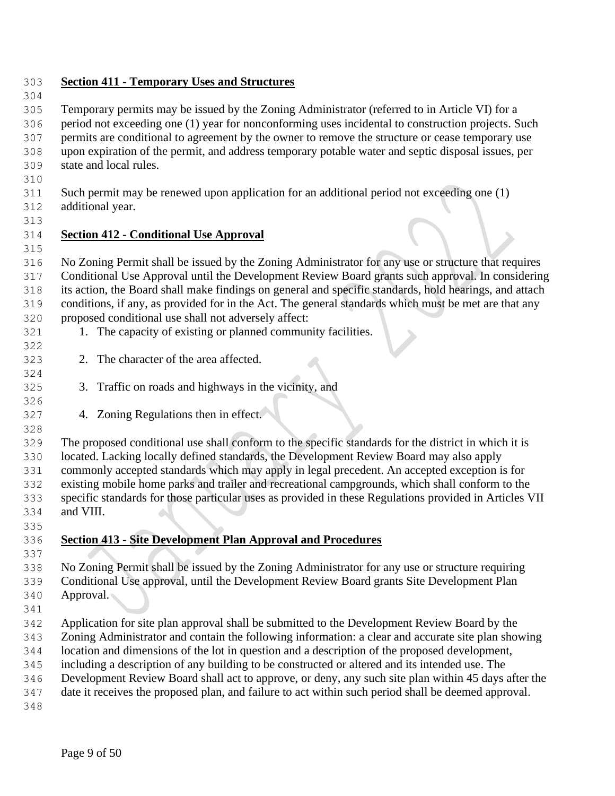## **Section 411 - Temporary Uses and Structures**

 Temporary permits may be issued by the Zoning Administrator (referred to in Article VI) for a period not exceeding one (1) year for nonconforming uses incidental to construction projects. Such permits are conditional to agreement by the owner to remove the structure or cease temporary use upon expiration of the permit, and address temporary potable water and septic disposal issues, per state and local rules.

 Such permit may be renewed upon application for an additional period not exceeding one (1) additional year.

## **Section 412 - Conditional Use Approval**

 No Zoning Permit shall be issued by the Zoning Administrator for any use or structure that requires Conditional Use Approval until the Development Review Board grants such approval. In considering its action, the Board shall make findings on general and specific standards, hold hearings, and attach conditions, if any, as provided for in the Act. The general standards which must be met are that any proposed conditional use shall not adversely affect:

- 321 1. The capacity of existing or planned community facilities.
- 2. The character of the area affected.
- 3. Traffic on roads and highways in the vicinity, and
- 4. Zoning Regulations then in effect.

 The proposed conditional use shall conform to the specific standards for the district in which it is located. Lacking locally defined standards, the Development Review Board may also apply commonly accepted standards which may apply in legal precedent. An accepted exception is for existing mobile home parks and trailer and recreational campgrounds, which shall conform to the specific standards for those particular uses as provided in these Regulations provided in Articles VII and VIII.

**Section 413 - Site Development Plan Approval and Procedures**

 No Zoning Permit shall be issued by the Zoning Administrator for any use or structure requiring Conditional Use approval, until the Development Review Board grants Site Development Plan Approval.

Application for site plan approval shall be submitted to the Development Review Board by the

Zoning Administrator and contain the following information: a clear and accurate site plan showing

location and dimensions of the lot in question and a description of the proposed development,

including a description of any building to be constructed or altered and its intended use. The

Development Review Board shall act to approve, or deny, any such site plan within 45 days after the

date it receives the proposed plan, and failure to act within such period shall be deemed approval.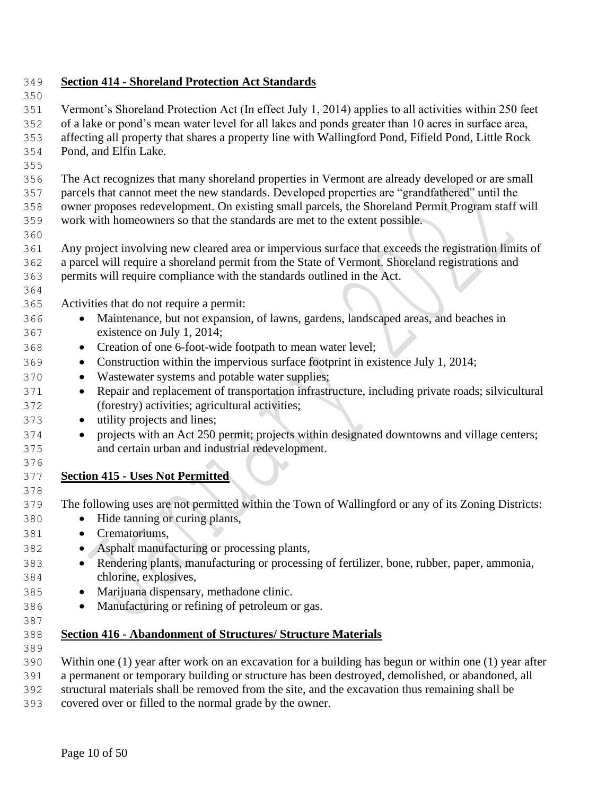## **Section 414 - Shoreland Protection Act Standards**

 Vermont's Shoreland Protection Act (In effect July 1, 2014) applies to all activities within 250 feet of a lake or pond's mean water level for all lakes and ponds greater than 10 acres in surface area, affecting all property that shares a property line with Wallingford Pond, Fifield Pond, Little Rock Pond, and Elfin Lake.

 The Act recognizes that many shoreland properties in Vermont are already developed or are small parcels that cannot meet the new standards. Developed properties are "grandfathered" until the owner proposes redevelopment. On existing small parcels, the Shoreland Permit Program staff will work with homeowners so that the standards are met to the extent possible.

- Any project involving new cleared area or impervious surface that exceeds the registration limits of a parcel will require a shoreland permit from the State of Vermont. Shoreland registrations and
- permits will require compliance with the standards outlined in the Act.
- 

Activities that do not require a permit:

- Maintenance, but not expansion, of lawns, gardens, landscaped areas, and beaches in existence on July 1, 2014;
- Creation of one 6-foot-wide footpath to mean water level;
- Construction within the impervious surface footprint in existence July 1, 2014;
- Wastewater systems and potable water supplies;
- <sup>371</sup> Repair and replacement of transportation infrastructure, including private roads; silvicultural (forestry) activities; agricultural activities;
- utility projects and lines;
- projects with an Act 250 permit; projects within designated downtowns and village centers; and certain urban and industrial redevelopment.
- **Section 415 - Uses Not Permitted**

The following uses are not permitted within the Town of Wallingford or any of its Zoning Districts:

- Hide tanning or curing plants,
- Crematoriums,
- Asphalt manufacturing or processing plants,
- Rendering plants, manufacturing or processing of fertilizer, bone, rubber, paper, ammonia, chlorine, explosives,
- Marijuana dispensary, methadone clinic.
- Manufacturing or refining of petroleum or gas.
- 

## **Section 416 - Abandonment of Structures/ Structure Materials**

- 
- Within one (1) year after work on an excavation for a building has begun or within one (1) year after
- a permanent or temporary building or structure has been destroyed, demolished, or abandoned, all
- structural materials shall be removed from the site, and the excavation thus remaining shall be
- covered over or filled to the normal grade by the owner.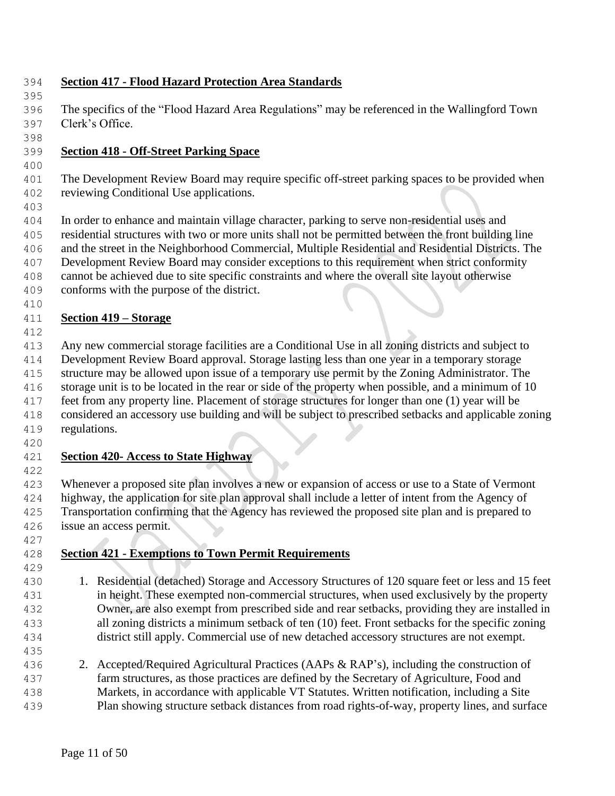## **Section 417 - Flood Hazard Protection Area Standards**

 The specifics of the "Flood Hazard Area Regulations" may be referenced in the Wallingford Town Clerk's Office.

#### **Section 418 - Off-Street Parking Space**

 The Development Review Board may require specific off-street parking spaces to be provided when reviewing Conditional Use applications.

 In order to enhance and maintain village character, parking to serve non-residential uses and residential structures with two or more units shall not be permitted between the front building line and the street in the Neighborhood Commercial, Multiple Residential and Residential Districts. The Development Review Board may consider exceptions to this requirement when strict conformity cannot be achieved due to site specific constraints and where the overall site layout otherwise

 conforms with the purpose of the district. 

# **Section 419 – Storage**

Any new commercial storage facilities are a Conditional Use in all zoning districts and subject to

Development Review Board approval. Storage lasting less than one year in a temporary storage

structure may be allowed upon issue of a temporary use permit by the Zoning Administrator. The

 storage unit is to be located in the rear or side of the property when possible, and a minimum of 10 feet from any property line. Placement of storage structures for longer than one (1) year will be

- considered an accessory use building and will be subject to prescribed setbacks and applicable zoning
- regulations.

## **Section 420- Access to State Highway**

 Whenever a proposed site plan involves a new or expansion of access or use to a State of Vermont highway, the application for site plan approval shall include a letter of intent from the Agency of Transportation confirming that the Agency has reviewed the proposed site plan and is prepared to issue an access permit.

## **Section 421 - Exemptions to Town Permit Requirements**

- 1. Residential (detached) Storage and Accessory Structures of 120 square feet or less and 15 feet in height. These exempted non-commercial structures, when used exclusively by the property Owner, are also exempt from prescribed side and rear setbacks, providing they are installed in all zoning districts a minimum setback of ten (10) feet. Front setbacks for the specific zoning district still apply. Commercial use of new detached accessory structures are not exempt.
- 

 2. Accepted/Required Agricultural Practices (AAPs & RAP's), including the construction of farm structures, as those practices are defined by the Secretary of Agriculture, Food and Markets, in accordance with applicable VT Statutes. Written notification, including a Site

Plan showing structure setback distances from road rights-of-way, property lines, and surface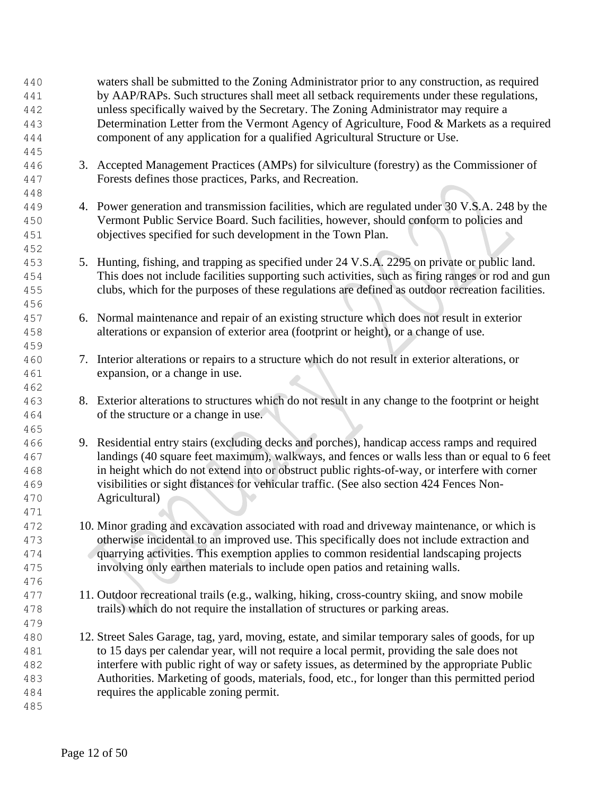| 440 |    | waters shall be submitted to the Zoning Administrator prior to any construction, as required       |
|-----|----|----------------------------------------------------------------------------------------------------|
| 441 |    | by AAP/RAPs. Such structures shall meet all setback requirements under these regulations,          |
| 442 |    | unless specifically waived by the Secretary. The Zoning Administrator may require a                |
| 443 |    | Determination Letter from the Vermont Agency of Agriculture, Food & Markets as a required          |
| 444 |    | component of any application for a qualified Agricultural Structure or Use.                        |
| 445 |    |                                                                                                    |
| 446 |    | 3. Accepted Management Practices (AMPs) for silviculture (forestry) as the Commissioner of         |
| 447 |    | Forests defines those practices, Parks, and Recreation.                                            |
| 448 |    |                                                                                                    |
| 449 |    | 4. Power generation and transmission facilities, which are regulated under 30 V.S.A. 248 by the    |
| 450 |    | Vermont Public Service Board. Such facilities, however, should conform to policies and             |
| 451 |    | objectives specified for such development in the Town Plan.                                        |
| 452 |    |                                                                                                    |
| 453 |    | 5. Hunting, fishing, and trapping as specified under 24 V.S.A. 2295 on private or public land.     |
| 454 |    | This does not include facilities supporting such activities, such as firing ranges or rod and gun  |
| 455 |    | clubs, which for the purposes of these regulations are defined as outdoor recreation facilities.   |
| 456 |    |                                                                                                    |
| 457 |    | 6. Normal maintenance and repair of an existing structure which does not result in exterior        |
| 458 |    | alterations or expansion of exterior area (footprint or height), or a change of use.               |
| 459 |    |                                                                                                    |
| 460 | 7. | Interior alterations or repairs to a structure which do not result in exterior alterations, or     |
| 461 |    | expansion, or a change in use.                                                                     |
| 462 |    |                                                                                                    |
| 463 |    | 8. Exterior alterations to structures which do not result in any change to the footprint or height |
|     |    | of the structure or a change in use.                                                               |
| 464 |    |                                                                                                    |
| 465 |    |                                                                                                    |
| 466 |    | 9. Residential entry stairs (excluding decks and porches), handicap access ramps and required      |
| 467 |    | landings (40 square feet maximum), walkways, and fences or walls less than or equal to 6 feet      |
| 468 |    | in height which do not extend into or obstruct public rights-of-way, or interfere with corner      |
| 469 |    | visibilities or sight distances for vehicular traffic. (See also section 424 Fences Non-           |
| 470 |    | Agricultural)                                                                                      |
| 471 |    |                                                                                                    |
| 472 |    | 10. Minor grading and excavation associated with road and driveway maintenance, or which is        |
| 473 |    | otherwise incidental to an improved use. This specifically does not include extraction and         |
| 474 |    | quarrying activities. This exemption applies to common residential landscaping projects            |
| 475 |    | involving only earthen materials to include open patios and retaining walls.                       |
| 476 |    |                                                                                                    |
| 477 |    | 11. Outdoor recreational trails (e.g., walking, hiking, cross-country skiing, and snow mobile      |
| 478 |    | trails) which do not require the installation of structures or parking areas.                      |
| 479 |    |                                                                                                    |
| 480 |    | 12. Street Sales Garage, tag, yard, moving, estate, and similar temporary sales of goods, for up   |
| 481 |    | to 15 days per calendar year, will not require a local permit, providing the sale does not         |
| 482 |    | interfere with public right of way or safety issues, as determined by the appropriate Public       |
| 483 |    | Authorities. Marketing of goods, materials, food, etc., for longer than this permitted period      |
| 484 |    | requires the applicable zoning permit.                                                             |
| 485 |    |                                                                                                    |
|     |    |                                                                                                    |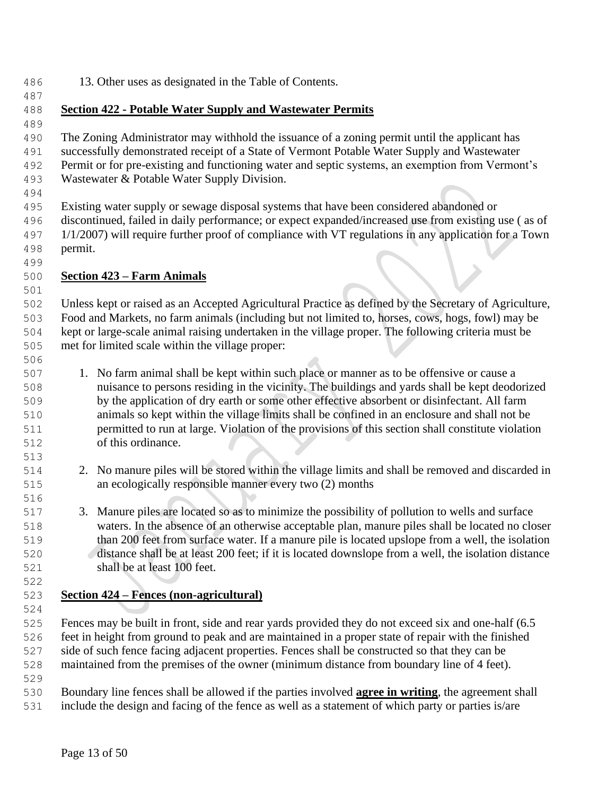13. Other uses as designated in the Table of Contents.

## **Section 422 - Potable Water Supply and Wastewater Permits**

 The Zoning Administrator may withhold the issuance of a zoning permit until the applicant has successfully demonstrated receipt of a State of Vermont Potable Water Supply and Wastewater Permit or for pre-existing and functioning water and septic systems, an exemption from Vermont's

- Wastewater & Potable Water Supply Division.
- 

 Existing water supply or sewage disposal systems that have been considered abandoned or discontinued, failed in daily performance; or expect expanded/increased use from existing use ( as of 1/1/2007) will require further proof of compliance with VT regulations in any application for a Town permit.

## **Section 423 – Farm Animals**

 Unless kept or raised as an Accepted Agricultural Practice as defined by the Secretary of Agriculture, Food and Markets, no farm animals (including but not limited to, horses, cows, hogs, fowl) may be kept or large-scale animal raising undertaken in the village proper. The following criteria must be met for limited scale within the village proper:

 1. No farm animal shall be kept within such place or manner as to be offensive or cause a nuisance to persons residing in the vicinity. The buildings and yards shall be kept deodorized by the application of dry earth or some other effective absorbent or disinfectant. All farm animals so kept within the village limits shall be confined in an enclosure and shall not be permitted to run at large. Violation of the provisions of this section shall constitute violation of this ordinance.

- 2. No manure piles will be stored within the village limits and shall be removed and discarded in an ecologically responsible manner every two (2) months
- 3. Manure piles are located so as to minimize the possibility of pollution to wells and surface waters. In the absence of an otherwise acceptable plan, manure piles shall be located no closer than 200 feet from surface water. If a manure pile is located upslope from a well, the isolation distance shall be at least 200 feet; if it is located downslope from a well, the isolation distance shall be at least 100 feet.

# **Section 424 – Fences (non-agricultural)**

 Fences may be built in front, side and rear yards provided they do not exceed six and one-half (6.5 feet in height from ground to peak and are maintained in a proper state of repair with the finished side of such fence facing adjacent properties. Fences shall be constructed so that they can be maintained from the premises of the owner (minimum distance from boundary line of 4 feet).

 Boundary line fences shall be allowed if the parties involved **agree in writing**, the agreement shall include the design and facing of the fence as well as a statement of which party or parties is/are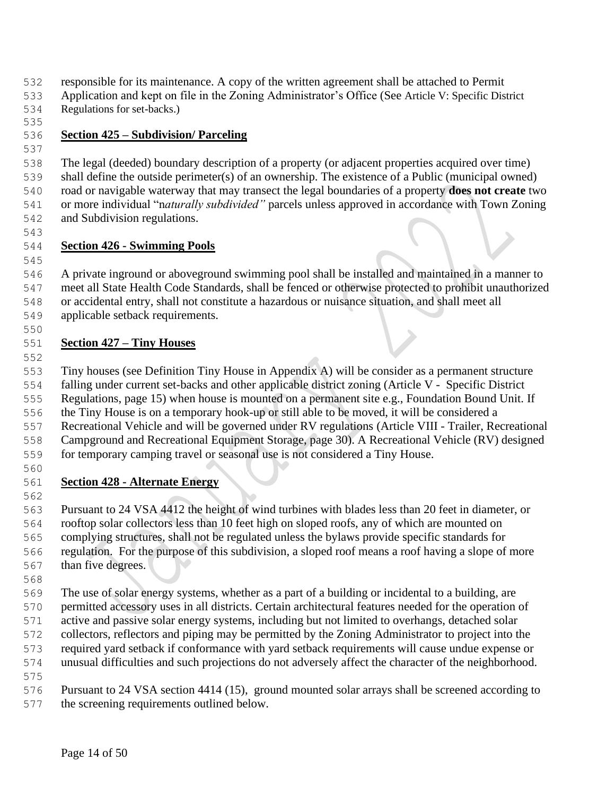responsible for its maintenance. A copy of the written agreement shall be attached to Permit

- Application and kept on file in the Zoning Administrator's Office (See Article V: Specific District
- Regulations for set-backs.)

# **Section 425 – Subdivision/ Parceling**

- The legal (deeded) boundary description of a property (or adjacent properties acquired over time) shall define the outside perimeter(s) of an ownership. The existence of a Public (municipal owned)
- road or navigable waterway that may transect the legal boundaries of a property **does not create** two
- or more individual "n*aturally subdivided"* parcels unless approved in accordance with Town Zoning and Subdivision regulations.
- 

# **Section 426 - Swimming Pools**

 A private inground or aboveground swimming pool shall be installed and maintained in a manner to meet all State Health Code Standards, shall be fenced or otherwise protected to prohibit unauthorized or accidental entry, shall not constitute a hazardous or nuisance situation, and shall meet all applicable setback requirements.

# **Section 427 – Tiny Houses**

 Tiny houses (see Definition Tiny House in Appendix A) will be consider as a permanent structure falling under current set-backs and other applicable district zoning (Article V - Specific District Regulations, page 15) when house is mounted on a permanent site e.g., Foundation Bound Unit. If the Tiny House is on a temporary hook-up or still able to be moved, it will be considered a Recreational Vehicle and will be governed under RV regulations (Article VIII - Trailer, Recreational

- Campground and Recreational Equipment Storage, page 30). A Recreational Vehicle (RV) designed for temporary camping travel or seasonal use is not considered a Tiny House.
- 

# **Section 428 - Alternate Energy**

 Pursuant to 24 VSA 4412 the height of wind turbines with blades less than 20 feet in diameter, or rooftop solar collectors less than 10 feet high on sloped roofs, any of which are mounted on complying structures, shall not be regulated unless the bylaws provide specific standards for regulation. For the purpose of this subdivision, a sloped roof means a roof having a slope of more than five degrees.

 The use of solar energy systems, whether as a part of a building or incidental to a building, are permitted accessory uses in all districts. Certain architectural features needed for the operation of active and passive solar energy systems, including but not limited to overhangs, detached solar collectors, reflectors and piping may be permitted by the Zoning Administrator to project into the required yard setback if conformance with yard setback requirements will cause undue expense or unusual difficulties and such projections do not adversely affect the character of the neighborhood.

Pursuant to 24 VSA section 4414 (15), ground mounted solar arrays shall be screened according to

the screening requirements outlined below.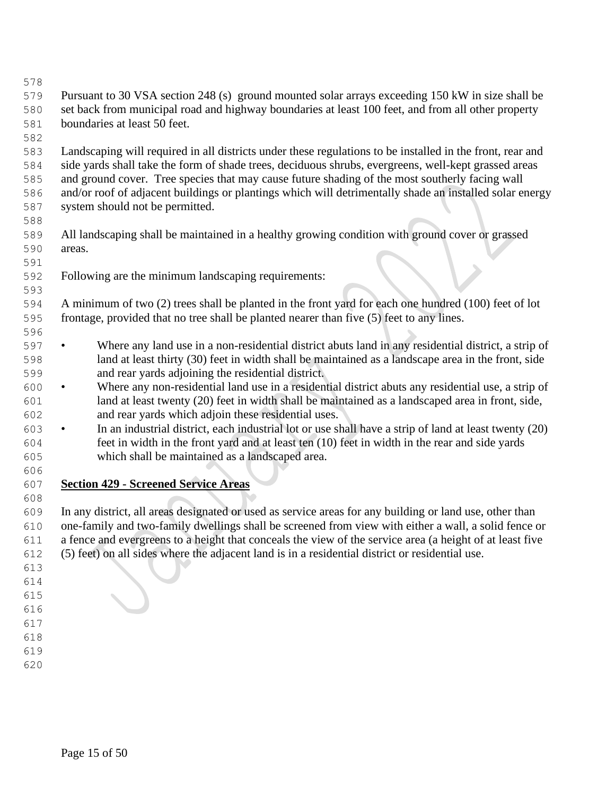- 
- Pursuant to 30 VSA section 248 (s) ground mounted solar arrays exceeding 150 kW in size shall be set back from municipal road and highway boundaries at least 100 feet, and from all other property boundaries at least 50 feet.
- 

 Landscaping will required in all districts under these regulations to be installed in the front, rear and side yards shall take the form of shade trees, deciduous shrubs, evergreens, well-kept grassed areas and ground cover. Tree species that may cause future shading of the most southerly facing wall and/or roof of adjacent buildings or plantings which will detrimentally shade an installed solar energy system should not be permitted.

- All landscaping shall be maintained in a healthy growing condition with ground cover or grassed areas.
- Following are the minimum landscaping requirements:

 A minimum of two (2) trees shall be planted in the front yard for each one hundred (100) feet of lot frontage, provided that no tree shall be planted nearer than five (5) feet to any lines.

- Where any land use in a non-residential district abuts land in any residential district, a strip of land at least thirty (30) feet in width shall be maintained as a landscape area in the front, side and rear yards adjoining the residential district.
- Where any non-residential land use in a residential district abuts any residential use, a strip of land at least twenty (20) feet in width shall be maintained as a landscaped area in front, side, and rear yards which adjoin these residential uses.
- In an industrial district, each industrial lot or use shall have a strip of land at least twenty (20) feet in width in the front yard and at least ten (10) feet in width in the rear and side yards which shall be maintained as a landscaped area.
- **Section 429 - Screened Service Areas**

 In any district, all areas designated or used as service areas for any building or land use, other than one-family and two-family dwellings shall be screened from view with either a wall, a solid fence or a fence and evergreens to a height that conceals the view of the service area (a height of at least five (5) feet) on all sides where the adjacent land is in a residential district or residential use.

- 
- 
- 
- 
- 
-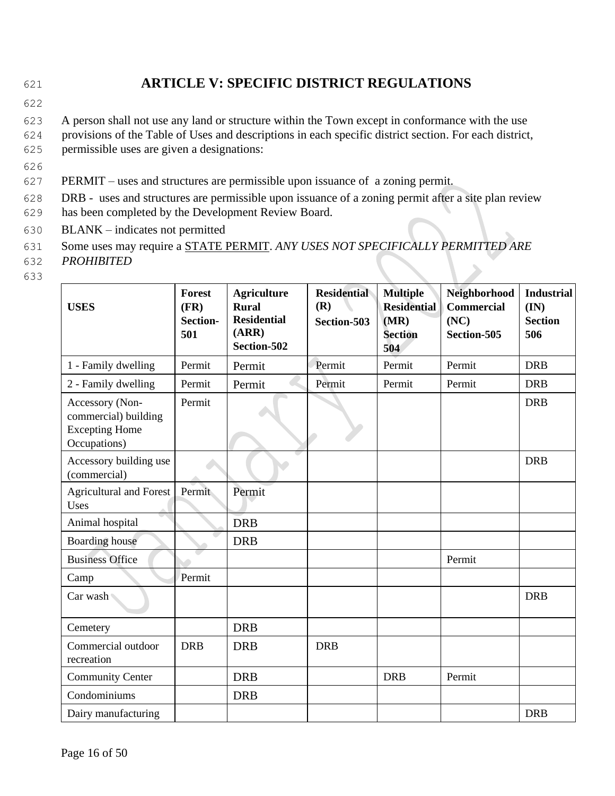# 621 **ARTICLE V: SPECIFIC DISTRICT REGULATIONS**

622

623 A person shall not use any land or structure within the Town except in conformance with the use

624 provisions of the Table of Uses and descriptions in each specific district section. For each district,

- 625 permissible uses are given a designations:
- 626
- 627 PERMIT uses and structures are permissible upon issuance of a zoning permit.
- 628 DRB uses and structures are permissible upon issuance of a zoning permit after a site plan review 629 has been completed by the Development Review Board.
- 630 BLANK indicates not permitted
- 631 Some uses may require a STATE PERMIT. *ANY USES NOT SPECIFICALLY PERMITTED ARE*
- 632 *PROHIBITED*
- 633

| <b>USES</b>                                                                      | <b>Forest</b><br>(FR)<br><b>Section-</b><br>501 | <b>Agriculture</b><br><b>Rural</b><br><b>Residential</b><br>(ARR)<br>Section-502 | <b>Residential</b><br>(R)<br>Section-503 | <b>Multiple</b><br><b>Residential</b><br>(MR)<br><b>Section</b><br>504 | Neighborhood<br><b>Commercial</b><br>(NC)<br>Section-505 | <b>Industrial</b><br>(IN)<br><b>Section</b><br>506 |
|----------------------------------------------------------------------------------|-------------------------------------------------|----------------------------------------------------------------------------------|------------------------------------------|------------------------------------------------------------------------|----------------------------------------------------------|----------------------------------------------------|
| 1 - Family dwelling                                                              | Permit                                          | Permit                                                                           | Permit                                   | Permit                                                                 | Permit                                                   | <b>DRB</b>                                         |
| 2 - Family dwelling                                                              | Permit                                          | Permit                                                                           | Permit                                   | Permit                                                                 | Permit                                                   | <b>DRB</b>                                         |
| Accessory (Non-<br>commercial) building<br><b>Excepting Home</b><br>Occupations) | Permit                                          |                                                                                  |                                          |                                                                        |                                                          | <b>DRB</b>                                         |
| Accessory building use<br>(commercial)                                           |                                                 |                                                                                  |                                          |                                                                        |                                                          | <b>DRB</b>                                         |
| <b>Agricultural and Forest</b><br>Uses                                           | Permit                                          | Permit                                                                           |                                          |                                                                        |                                                          |                                                    |
| Animal hospital                                                                  |                                                 | <b>DRB</b>                                                                       |                                          |                                                                        |                                                          |                                                    |
| <b>Boarding</b> house                                                            |                                                 | <b>DRB</b>                                                                       |                                          |                                                                        |                                                          |                                                    |
| <b>Business Office</b>                                                           |                                                 |                                                                                  |                                          |                                                                        | Permit                                                   |                                                    |
| Camp                                                                             | Permit                                          |                                                                                  |                                          |                                                                        |                                                          |                                                    |
| Car wash                                                                         |                                                 |                                                                                  |                                          |                                                                        |                                                          | <b>DRB</b>                                         |
| Cemetery                                                                         |                                                 | <b>DRB</b>                                                                       |                                          |                                                                        |                                                          |                                                    |
| Commercial outdoor<br>recreation                                                 | <b>DRB</b>                                      | <b>DRB</b>                                                                       | <b>DRB</b>                               |                                                                        |                                                          |                                                    |
| <b>Community Center</b>                                                          |                                                 | <b>DRB</b>                                                                       |                                          | <b>DRB</b>                                                             | Permit                                                   |                                                    |
| Condominiums                                                                     |                                                 | <b>DRB</b>                                                                       |                                          |                                                                        |                                                          |                                                    |
| Dairy manufacturing                                                              |                                                 |                                                                                  |                                          |                                                                        |                                                          | <b>DRB</b>                                         |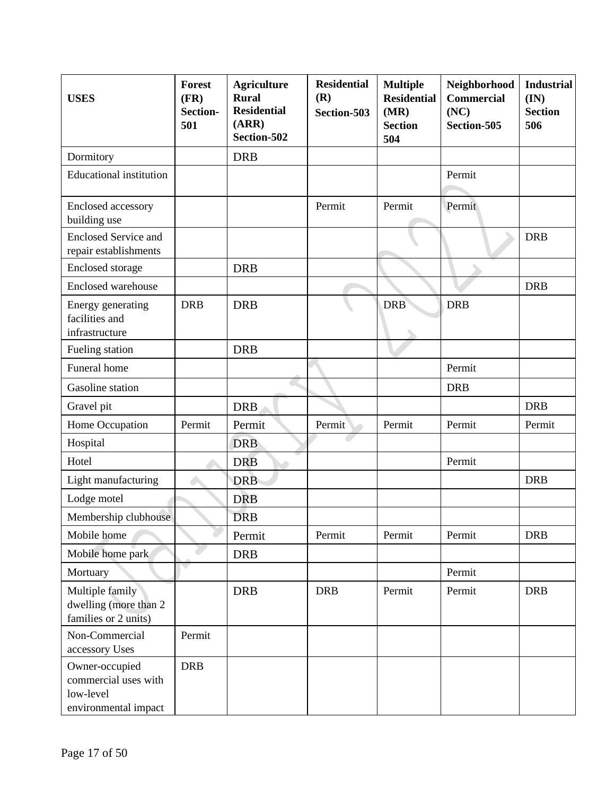| <b>USES</b>                                                                 | <b>Forest</b><br>(FR)<br>Section-<br>501 | <b>Agriculture</b><br><b>Rural</b><br><b>Residential</b><br>(ARR)<br>Section-502 | <b>Residential</b><br>(R)<br>Section-503 | <b>Multiple</b><br><b>Residential</b><br>(MR)<br><b>Section</b><br>504 | Neighborhood<br><b>Commercial</b><br>(NC)<br>Section-505 | <b>Industrial</b><br>(IN)<br><b>Section</b><br>506 |
|-----------------------------------------------------------------------------|------------------------------------------|----------------------------------------------------------------------------------|------------------------------------------|------------------------------------------------------------------------|----------------------------------------------------------|----------------------------------------------------|
| Dormitory                                                                   |                                          | <b>DRB</b>                                                                       |                                          |                                                                        |                                                          |                                                    |
| <b>Educational institution</b>                                              |                                          |                                                                                  |                                          |                                                                        | Permit                                                   |                                                    |
| Enclosed accessory<br>building use                                          |                                          |                                                                                  | Permit                                   | Permit                                                                 | Permit                                                   |                                                    |
| <b>Enclosed Service and</b><br>repair establishments                        |                                          |                                                                                  |                                          |                                                                        |                                                          | <b>DRB</b>                                         |
| Enclosed storage                                                            |                                          | <b>DRB</b>                                                                       |                                          |                                                                        |                                                          |                                                    |
| <b>Enclosed warehouse</b>                                                   |                                          |                                                                                  |                                          |                                                                        |                                                          | <b>DRB</b>                                         |
| Energy generating<br>facilities and<br>infrastructure                       | <b>DRB</b>                               | <b>DRB</b>                                                                       |                                          | <b>DRB</b>                                                             | <b>DRB</b>                                               |                                                    |
| Fueling station                                                             |                                          | <b>DRB</b>                                                                       |                                          |                                                                        |                                                          |                                                    |
| Funeral home                                                                |                                          |                                                                                  |                                          |                                                                        | Permit                                                   |                                                    |
| Gasoline station                                                            |                                          |                                                                                  |                                          |                                                                        | <b>DRB</b>                                               |                                                    |
| Gravel pit                                                                  |                                          | <b>DRB</b>                                                                       |                                          |                                                                        |                                                          | <b>DRB</b>                                         |
| Home Occupation                                                             | Permit                                   | Permit                                                                           | Permit                                   | Permit                                                                 | Permit                                                   | Permit                                             |
| Hospital                                                                    |                                          | <b>DRB</b>                                                                       |                                          |                                                                        |                                                          |                                                    |
| Hotel                                                                       |                                          | <b>DRB</b>                                                                       |                                          |                                                                        | Permit                                                   |                                                    |
| Light manufacturing                                                         |                                          | <b>DRB</b>                                                                       |                                          |                                                                        |                                                          | <b>DRB</b>                                         |
| Lodge motel                                                                 |                                          | <b>DRB</b>                                                                       |                                          |                                                                        |                                                          |                                                    |
| Membership clubhouse                                                        |                                          | <b>DRB</b>                                                                       |                                          |                                                                        |                                                          |                                                    |
| Mobile home                                                                 |                                          | Permit                                                                           | Permit                                   | Permit                                                                 | Permit                                                   | <b>DRB</b>                                         |
| Mobile home park                                                            |                                          | <b>DRB</b>                                                                       |                                          |                                                                        |                                                          |                                                    |
| Mortuary                                                                    |                                          |                                                                                  |                                          |                                                                        | Permit                                                   |                                                    |
| Multiple family<br>dwelling (more than 2<br>families or 2 units)            |                                          | <b>DRB</b>                                                                       | <b>DRB</b>                               | Permit                                                                 | Permit                                                   | <b>DRB</b>                                         |
| Non-Commercial<br>accessory Uses                                            | Permit                                   |                                                                                  |                                          |                                                                        |                                                          |                                                    |
| Owner-occupied<br>commercial uses with<br>low-level<br>environmental impact | <b>DRB</b>                               |                                                                                  |                                          |                                                                        |                                                          |                                                    |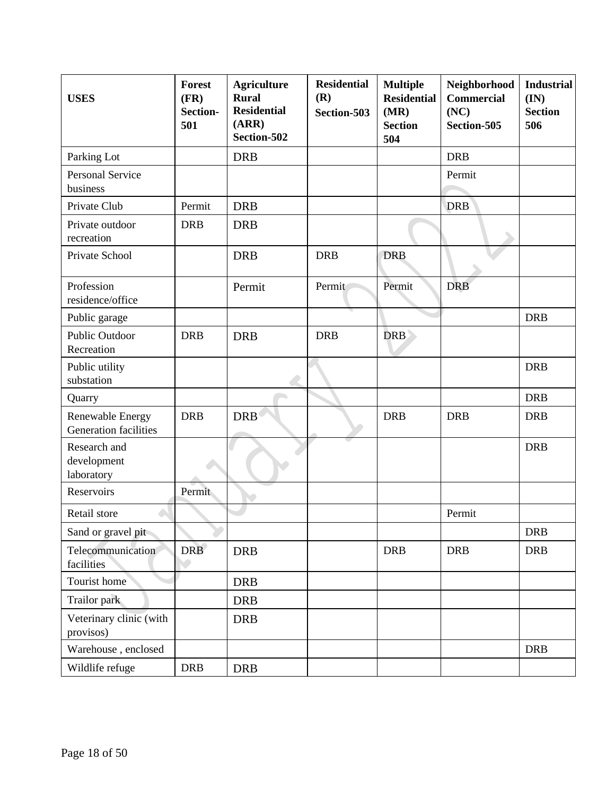| <b>USES</b>                                      | <b>Forest</b><br>(FR)<br>Section-<br>501 | <b>Agriculture</b><br><b>Rural</b><br><b>Residential</b><br>(ARR)<br>Section-502 | <b>Residential</b><br>(R)<br>Section-503 | <b>Multiple</b><br><b>Residential</b><br>(MR)<br><b>Section</b><br>504 | Neighborhood<br><b>Commercial</b><br>(NC)<br>Section-505 | <b>Industrial</b><br>(IN)<br><b>Section</b><br>506 |
|--------------------------------------------------|------------------------------------------|----------------------------------------------------------------------------------|------------------------------------------|------------------------------------------------------------------------|----------------------------------------------------------|----------------------------------------------------|
| Parking Lot                                      |                                          | <b>DRB</b>                                                                       |                                          |                                                                        | <b>DRB</b>                                               |                                                    |
| <b>Personal Service</b><br>business              |                                          |                                                                                  |                                          |                                                                        | Permit                                                   |                                                    |
| Private Club                                     | Permit                                   | <b>DRB</b>                                                                       |                                          |                                                                        | <b>DRB</b>                                               |                                                    |
| Private outdoor<br>recreation                    | <b>DRB</b>                               | <b>DRB</b>                                                                       |                                          |                                                                        |                                                          |                                                    |
| Private School                                   |                                          | <b>DRB</b>                                                                       | <b>DRB</b>                               | <b>DRB</b>                                                             |                                                          |                                                    |
| Profession<br>residence/office                   |                                          | Permit                                                                           | Permit                                   | Permit                                                                 | <b>DRB</b>                                               |                                                    |
| Public garage                                    |                                          |                                                                                  |                                          |                                                                        |                                                          | <b>DRB</b>                                         |
| <b>Public Outdoor</b><br>Recreation              | <b>DRB</b>                               | <b>DRB</b>                                                                       | <b>DRB</b>                               | DRB                                                                    |                                                          |                                                    |
| Public utility<br>substation                     |                                          |                                                                                  |                                          |                                                                        |                                                          | <b>DRB</b>                                         |
| Quarry                                           |                                          |                                                                                  |                                          |                                                                        |                                                          | <b>DRB</b>                                         |
| <b>Renewable Energy</b><br>Generation facilities | <b>DRB</b>                               | <b>DRB</b>                                                                       |                                          | <b>DRB</b>                                                             | <b>DRB</b>                                               | <b>DRB</b>                                         |
| Research and<br>development<br>laboratory        |                                          |                                                                                  |                                          |                                                                        |                                                          | <b>DRB</b>                                         |
| Reservoirs                                       | Permit                                   |                                                                                  |                                          |                                                                        |                                                          |                                                    |
| Retail store                                     |                                          |                                                                                  |                                          |                                                                        | Permit                                                   |                                                    |
| Sand or gravel pit                               |                                          |                                                                                  |                                          |                                                                        |                                                          | <b>DRB</b>                                         |
| Telecommunication<br>facilities                  | <b>DRB</b>                               | <b>DRB</b>                                                                       |                                          | <b>DRB</b>                                                             | <b>DRB</b>                                               | <b>DRB</b>                                         |
| Tourist home                                     |                                          | <b>DRB</b>                                                                       |                                          |                                                                        |                                                          |                                                    |
| Trailor park                                     |                                          | <b>DRB</b>                                                                       |                                          |                                                                        |                                                          |                                                    |
| Veterinary clinic (with<br>provisos)             |                                          | <b>DRB</b>                                                                       |                                          |                                                                        |                                                          |                                                    |
| Warehouse, enclosed                              |                                          |                                                                                  |                                          |                                                                        |                                                          | <b>DRB</b>                                         |
| Wildlife refuge                                  | <b>DRB</b>                               | <b>DRB</b>                                                                       |                                          |                                                                        |                                                          |                                                    |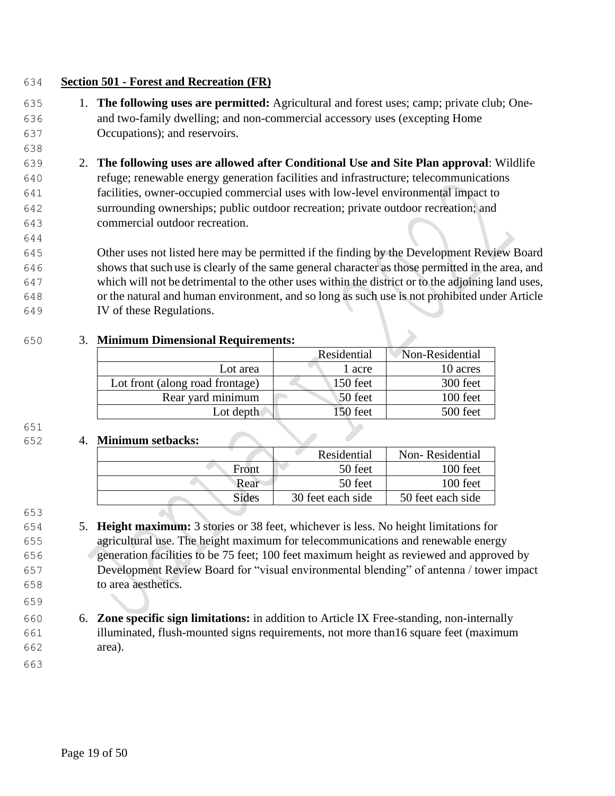## **Section 501 - Forest and Recreation (FR)**

- 1. **The following uses are permitted:** Agricultural and forest uses; camp; private club; One- and two-family dwelling; and non-commercial accessory uses (excepting Home Occupations); and reservoirs.
- 2. **The following uses are allowed after Conditional Use and Site Plan approval**: Wildlife refuge; renewable energy generation facilities and infrastructure; telecommunications facilities, owner-occupied commercial uses with low-level environmental impact to surrounding ownerships; public outdoor recreation; private outdoor recreation; and commercial outdoor recreation.

 Other uses not listed here may be permitted if the finding by the Development Review Board shows that such use is clearly of the same general character as those permitted in the area, and which will not be detrimental to the other uses within the district or to the adjoining land uses, or the natural and human environment, and so long as such use is not prohibited under Article IV of these Regulations.

#### 3. **Minimum Dimensional Requirements:**

|                                 | Residential | Non-Residential |
|---------------------------------|-------------|-----------------|
| Lot area                        | 1 acre      | 10 acres        |
| Lot front (along road frontage) | $150$ feet  | 300 feet        |
| Rear yard minimum               | 50 feet     | 100 feet        |
| Lot depth                       | 150 feet    | 500 feet        |

#### 

#### 4. **Minimum setbacks:**

|       | Residential       | Non-Residential   |
|-------|-------------------|-------------------|
| Front | 50 feet           | 100 feet          |
| Rear  | 50 feet           | $100$ feet        |
| Sides | 30 feet each side | 50 feet each side |
|       |                   |                   |

- 5. **Height maximum:** 3 stories or 38 feet, whichever is less. No height limitations for agricultural use. The height maximum for telecommunications and renewable energy generation facilities to be 75 feet; 100 feet maximum height as reviewed and approved by Development Review Board for "visual environmental blending" of antenna / tower impact to area aesthetics.
- 6. **Zone specific sign limitations:** in addition to Article IX Free-standing, non-internally illuminated, flush-mounted signs requirements, not more than16 square feet (maximum area).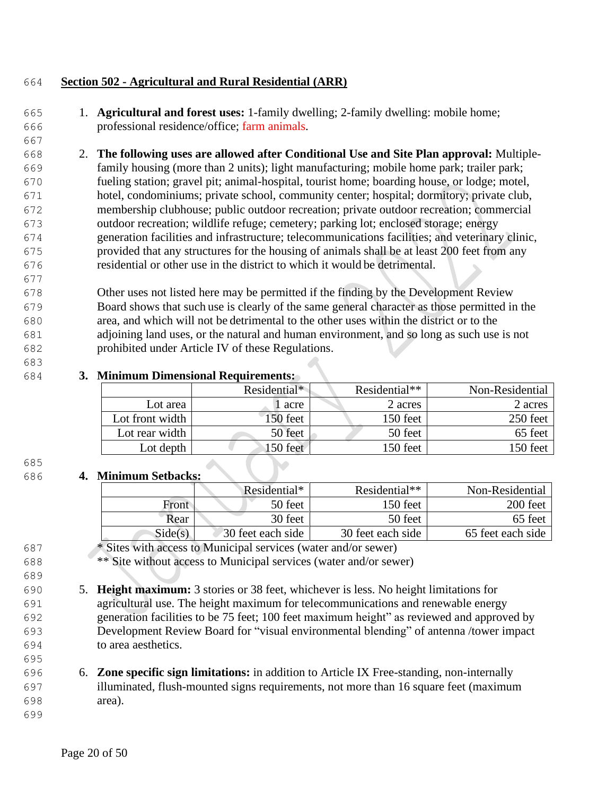## **Section 502 - Agricultural and Rural Residential (ARR)**

 1. **Agricultural and forest uses:** 1-family dwelling; 2-family dwelling: mobile home; professional residence/office; farm animals.

 2. **The following uses are allowed after Conditional Use and Site Plan approval:** Multiple- family housing (more than 2 units); light manufacturing; mobile home park; trailer park; fueling station; gravel pit; animal-hospital, tourist home; boarding house, or lodge; motel, hotel, condominiums; private school, community center; hospital; dormitory; private club, membership clubhouse; public outdoor recreation; private outdoor recreation; commercial outdoor recreation; wildlife refuge; cemetery; parking lot; enclosed storage; energy generation facilities and infrastructure; telecommunications facilities; and veterinary clinic, provided that any structures for the housing of animals shall be at least 200 feet from any residential or other use in the district to which it would be detrimental.

 Other uses not listed here may be permitted if the finding by the Development Review Board shows that such use is clearly of the same general character as those permitted in the area, and which will not be detrimental to the other uses within the district or to the adjoining land uses, or the natural and human environment, and so long as such use is not prohibited under Article IV of these Regulations.

## **3. Minimum Dimensional Requirements:**

|                 | Residential* | Residential** | Non-Residential |
|-----------------|--------------|---------------|-----------------|
| Lot area        | acre         | 2 acres       | 2 acres         |
| Lot front width | 50 feet      | 150 feet      | 250 feet        |
| Lot rear width  | 50 feet      | 50 feet       | 65 feet         |
| Lot depth       | $150$ feet   | 150 feet      | 150 feet        |

## 

## **4. Minimum Setbacks:**

|         | Residential*      | Residential**     | Non-Residential   |
|---------|-------------------|-------------------|-------------------|
| Front   | 50 feet           | 150 feet          | 200 feet          |
| Rear    | 30 feet           | 50 feet           | 65 feet           |
| Side(s) | 30 feet each side | 30 feet each side | 65 feet each side |

\* Sites with access to Municipal services (water and/or sewer)

\*\* Site without access to Municipal services (water and/or sewer)

 5. **Height maximum:** 3 stories or 38 feet, whichever is less. No height limitations for agricultural use. The height maximum for telecommunications and renewable energy generation facilities to be 75 feet; 100 feet maximum height" as reviewed and approved by Development Review Board for "visual environmental blending" of antenna /tower impact to area aesthetics.

## 6. **Zone specific sign limitations:** in addition to Article IX Free-standing, non-internally illuminated, flush-mounted signs requirements, not more than 16 square feet (maximum area).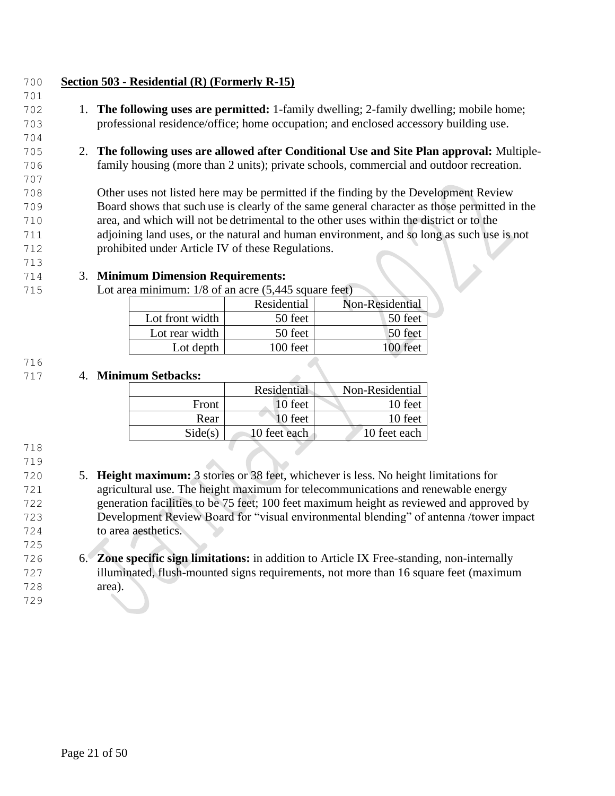## **Section 503 - Residential (R) (Formerly R-15)**

- 1. **The following uses are permitted:** 1-family dwelling; 2-family dwelling; mobile home; professional residence/office; home occupation; and enclosed accessory building use.
- 2. **The following uses are allowed after Conditional Use and Site Plan approval:** Multiple-family housing (more than 2 units); private schools, commercial and outdoor recreation.

 Other uses not listed here may be permitted if the finding by the Development Review Board shows that such use is clearly of the same general character as those permitted in the area, and which will not be detrimental to the other uses within the district or to the adjoining land uses, or the natural and human environment, and so long as such use is not prohibited under Article IV of these Regulations.

## 3. **Minimum Dimension Requirements:**

Lot area minimum: 1/8 of an acre (5,445 square feet)

|                 | Residential | Non-Residential |
|-----------------|-------------|-----------------|
| Lot front width | 50 feet     | 50 feet         |
| Lot rear width  | 50 feet     | 50 feet         |
| Lot depth       | 100 feet    | 100 feet        |

#### 

#### 4. **Minimum Setbacks:**

|         | Residential  | Non-Residential |
|---------|--------------|-----------------|
| Front   | 10 feet      | 10 feet         |
| Rear    | 10 feet      | 10 feet         |
| Side(s) | 10 feet each | 10 feet each    |
|         |              |                 |

#### 

 5. **Height maximum:** 3 stories or 38 feet, whichever is less. No height limitations for agricultural use. The height maximum for telecommunications and renewable energy generation facilities to be 75 feet; 100 feet maximum height as reviewed and approved by Development Review Board for "visual environmental blending" of antenna /tower impact to area aesthetics.

#### 6. **Zone specific sign limitations:** in addition to Article IX Free-standing, non-internally illuminated, flush-mounted signs requirements, not more than 16 square feet (maximum area).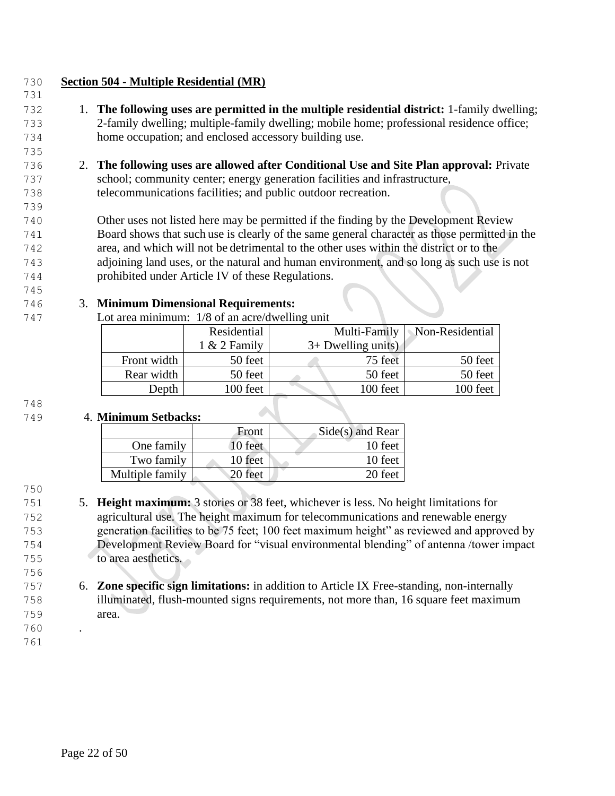## **Section 504 - Multiple Residential (MR)**

- 1. **The following uses are permitted in the multiple residential district:** 1-family dwelling; 2-family dwelling; multiple-family dwelling; mobile home; professional residence office; home occupation; and enclosed accessory building use.
- 2. **The following uses are allowed after Conditional Use and Site Plan approval:** Private school; community center; energy generation facilities and infrastructure, telecommunications facilities; and public outdoor recreation.

 Other uses not listed here may be permitted if the finding by the Development Review Board shows that such use is clearly of the same general character as those permitted in the area, and which will not be detrimental to the other uses within the district or to the adjoining land uses, or the natural and human environment, and so long as such use is not prohibited under Article IV of these Regulations.

## 3. **Minimum Dimensional Requirements:**

Lot area minimum: 1/8 of an acre/dwelling unit

|             | Residential    | Multi-Family |                      | Non-Residential |
|-------------|----------------|--------------|----------------------|-----------------|
|             | $1 & 2$ Family |              | $3+$ Dwelling units) |                 |
| Front width | 50 feet        |              | 75 feet              | 50 feet         |
| Rear width  | 50 feet        |              | 50 feet              | 50 feet         |
| Depth       | 100 feet       |              | 100 feet             | 100 feet        |
|             |                |              |                      |                 |

#### 

## 4. **Minimum Setbacks:**

|                 | Front   | $Side(s)$ and Rear |
|-----------------|---------|--------------------|
| One family      | 10 feet | 10 feet            |
| Two family      | 10 feet | 10 feet            |
| Multiple family | 20 feet | 20 feet            |

- 5. **Height maximum:** 3 stories or 38 feet, whichever is less. No height limitations for agricultural use. The height maximum for telecommunications and renewable energy generation facilities to be 75 feet; 100 feet maximum height" as reviewed and approved by Development Review Board for "visual environmental blending" of antenna /tower impact to area aesthetics.
- 6. **Zone specific sign limitations:** in addition to Article IX Free-standing, non-internally illuminated, flush-mounted signs requirements, not more than, 16 square feet maximum area.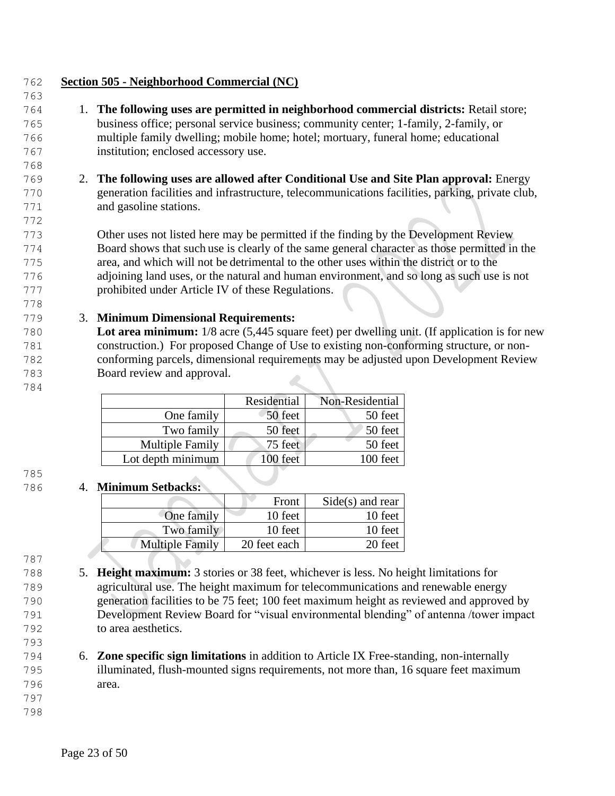**Section 505 - Neighborhood Commercial (NC)** 1. **The following uses are permitted in neighborhood commercial districts:** Retail store; business office; personal service business; community center; 1-family, 2-family, or multiple family dwelling; mobile home; hotel; mortuary, funeral home; educational institution; enclosed accessory use. 2. **The following uses are allowed after Conditional Use and Site Plan approval:** Energy generation facilities and infrastructure, telecommunications facilities, parking, private club, and gasoline stations. Other uses not listed here may be permitted if the finding by the Development Review Board shows that such use is clearly of the same general character as those permitted in the area, and which will not be detrimental to the other uses within the district or to the adjoining land uses, or the natural and human environment, and so long as such use is not prohibited under Article IV of these Regulations. 3. **Minimum Dimensional Requirements: Lot area minimum:** 1/8 acre (5,445 square feet) per dwelling unit. (If application is for new construction.) For proposed Change of Use to existing non-conforming structure, or non- conforming parcels, dimensional requirements may be adjusted upon Development Review Board review and approval.

|                        | Residential | Non-Residential |
|------------------------|-------------|-----------------|
| One family             | 50 feet     | 50 feet         |
| Two family             | 50 feet     | 50 feet         |
| <b>Multiple Family</b> | 75 feet     | 50 feet         |
| Lot depth minimum      | 100 feet    | 100 feet        |

# 

#### 4. **Minimum Setbacks:**

|                        | Front        | $Side(s)$ and rear |
|------------------------|--------------|--------------------|
| One family             | 10 feet      | 10 feet            |
| Two family             | 10 feet      | 10 feet            |
| <b>Multiple Family</b> | 20 feet each | 20 feet            |

- 5. **Height maximum:** 3 stories or 38 feet, whichever is less. No height limitations for agricultural use. The height maximum for telecommunications and renewable energy generation facilities to be 75 feet; 100 feet maximum height as reviewed and approved by Development Review Board for "visual environmental blending" of antenna /tower impact to area aesthetics.
- 6. **Zone specific sign limitations** in addition to Article IX Free-standing, non-internally illuminated, flush-mounted signs requirements, not more than, 16 square feet maximum area.
-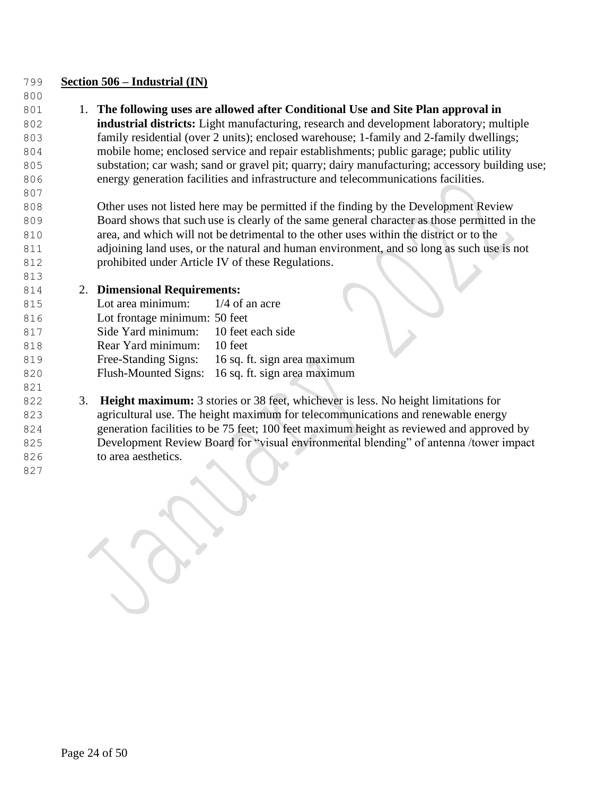#### **Section 506 – Industrial (IN)**

## 1. **The following uses are allowed after Conditional Use and Site Plan approval in**

 **industrial districts:** Light manufacturing, research and development laboratory; multiple family residential (over 2 units); enclosed warehouse; 1-family and 2-family dwellings; mobile home; enclosed service and repair establishments; public garage; public utility substation; car wash; sand or gravel pit; quarry; dairy manufacturing; accessory building use; energy generation facilities and infrastructure and telecommunications facilities.

 Other uses not listed here may be permitted if the finding by the Development Review Board shows that such use is clearly of the same general character as those permitted in the area, and which will not be detrimental to the other uses within the district or to the 811 adjoining land uses, or the natural and human environment, and so long as such use is not prohibited under Article IV of these Regulations.

## 2. **Dimensional Requirements:**

| 815 | Lot area minimum: $1/4$ of an acre   |                                                   |
|-----|--------------------------------------|---------------------------------------------------|
| 816 | Lot frontage minimum: 50 feet        |                                                   |
| 817 | Side Yard minimum: 10 feet each side |                                                   |
| 818 | Rear Yard minimum: 10 feet           |                                                   |
| 819 |                                      | Free-Standing Signs: 16 sq. ft. sign area maximum |
| 820 |                                      | Flush-Mounted Signs: 16 sq. ft. sign area maximum |
| 821 |                                      |                                                   |

 3. **Height maximum:** 3 stories or 38 feet, whichever is less. No height limitations for agricultural use. The height maximum for telecommunications and renewable energy generation facilities to be 75 feet; 100 feet maximum height as reviewed and approved by Development Review Board for "visual environmental blending" of antenna /tower impact to area aesthetics.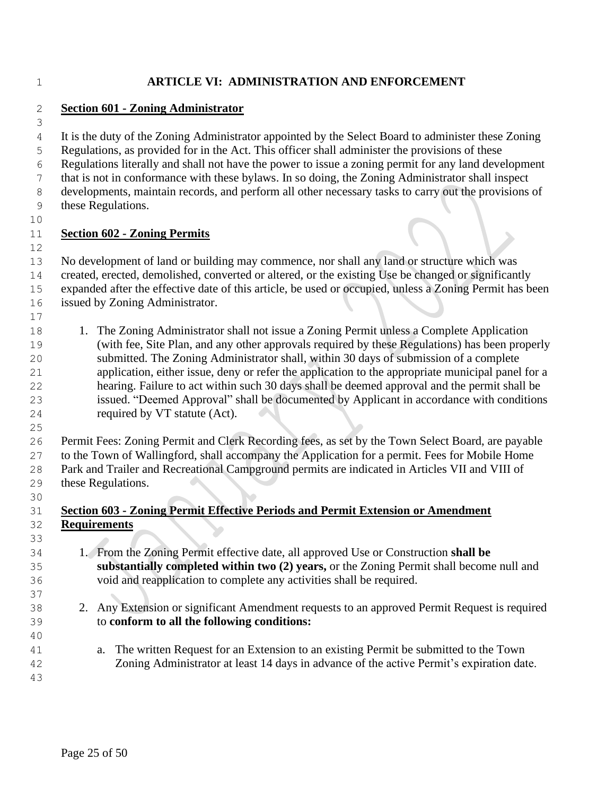## **ARTICLE VI: ADMINISTRATION AND ENFORCEMENT**

#### **Section 601 - Zoning Administrator**

 It is the duty of the Zoning Administrator appointed by the Select Board to administer these Zoning Regulations, as provided for in the Act. This officer shall administer the provisions of these Regulations literally and shall not have the power to issue a zoning permit for any land development that is not in conformance with these bylaws. In so doing, the Zoning Administrator shall inspect developments, maintain records, and perform all other necessary tasks to carry out the provisions of these Regulations.

#### **Section 602 - Zoning Permits**

 No development of land or building may commence, nor shall any land or structure which was created, erected, demolished, converted or altered, or the existing Use be changed or significantly expanded after the effective date of this article, be used or occupied, unless a Zoning Permit has been

issued by Zoning Administrator.

- 18 1. The Zoning Administrator shall not issue a Zoning Permit unless a Complete Application (with fee, Site Plan, and any other approvals required by these Regulations) has been properly submitted. The Zoning Administrator shall, within 30 days of submission of a complete application, either issue, deny or refer the application to the appropriate municipal panel for a hearing. Failure to act within such 30 days shall be deemed approval and the permit shall be issued. "Deemed Approval" shall be documented by Applicant in accordance with conditions required by VT statute (Act).
- Permit Fees: Zoning Permit and Clerk Recording fees, as set by the Town Select Board, are payable to the Town of Wallingford, shall accompany the Application for a permit. Fees for Mobile Home Park and Trailer and Recreational Campground permits are indicated in Articles VII and VIII of these Regulations.
- 

## **Section 603 - Zoning Permit Effective Periods and Permit Extension or Amendment Requirements**

- 1. From the Zoning Permit effective date, all approved Use or Construction **shall be substantially completed within two (2) years,** or the Zoning Permit shall become null and void and reapplication to complete any activities shall be required.
- 2. Any Extension or significant Amendment requests to an approved Permit Request is required to **conform to all the following conditions:**
- a. The written Request for an Extension to an existing Permit be submitted to the Town Zoning Administrator at least 14 days in advance of the active Permit's expiration date.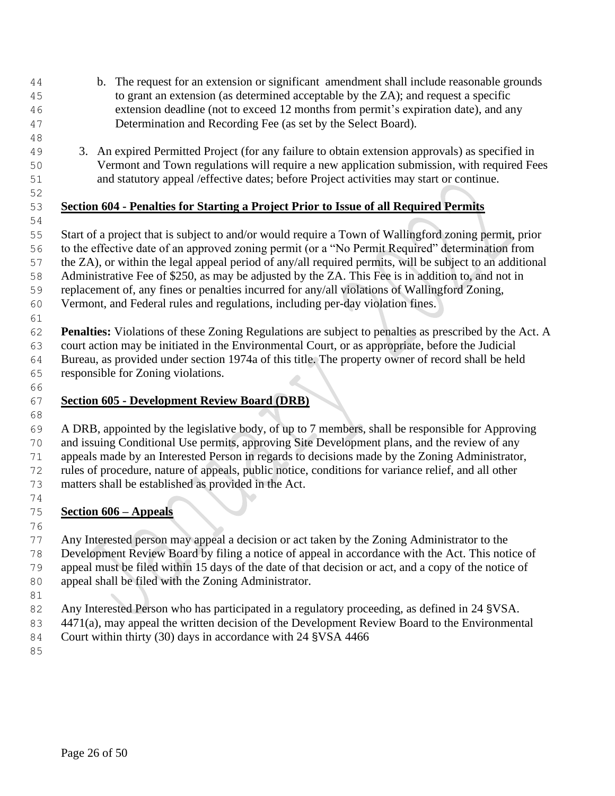- b. The request for an extension or significant amendment shall include reasonable grounds to grant an extension (as determined acceptable by the ZA); and request a specific extension deadline (not to exceed 12 months from permit's expiration date), and any Determination and Recording Fee (as set by the Select Board).
- 
- 3. An expired Permitted Project (for any failure to obtain extension approvals) as specified in Vermont and Town regulations will require a new application submission, with required Fees and statutory appeal /effective dates; before Project activities may start or continue.
- 

# **Section 604 - Penalties for Starting a Project Prior to Issue of all Required Permits**

 Start of a project that is subject to and/or would require a Town of Wallingford zoning permit, prior to the effective date of an approved zoning permit (or a "No Permit Required" determination from the ZA), or within the legal appeal period of any/all required permits, will be subject to an additional Administrative Fee of \$250, as may be adjusted by the ZA. This Fee is in addition to, and not in replacement of, any fines or penalties incurred for any/all violations of Wallingford Zoning,

 Vermont, and Federal rules and regulations, including per-day violation fines. 

 **Penalties:** Violations of these Zoning Regulations are subject to penalties as prescribed by the Act. A court action may be initiated in the Environmental Court, or as appropriate, before the Judicial Bureau, as provided under section 1974a of this title. The property owner of record shall be held responsible for Zoning violations.

#### **Section 605 - Development Review Board (DRB)**

 A DRB, appointed by the legislative body, of up to 7 members, shall be responsible for Approving and issuing Conditional Use permits, approving Site Development plans, and the review of any appeals made by an Interested Person in regards to decisions made by the Zoning Administrator, rules of procedure, nature of appeals, public notice, conditions for variance relief, and all other

- matters shall be established as provided in the Act.
- **Section 606 – Appeals**

 Any Interested person may appeal a decision or act taken by the Zoning Administrator to the Development Review Board by filing a notice of appeal in accordance with the Act. This notice of appeal must be filed within 15 days of the date of that decision or act, and a copy of the notice of appeal shall be filed with the Zoning Administrator.

- Any Interested Person who has participated in a regulatory proceeding, as defined in 24 §VSA.
- 4471(a), may appeal the written decision of the Development Review Board to the Environmental
- Court within thirty (30) days in accordance with 24 §VSA 4466
-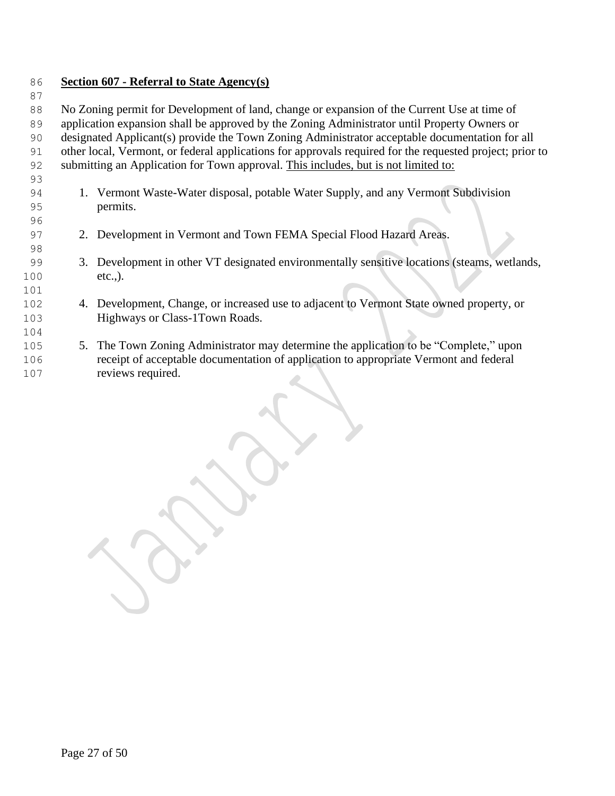## **Section 607 - Referral to State Agency(s)**

88 No Zoning permit for Development of land, change or expansion of the Current Use at time of

application expansion shall be approved by the Zoning Administrator until Property Owners or

 designated Applicant(s) provide the Town Zoning Administrator acceptable documentation for all other local, Vermont, or federal applications for approvals required for the requested project; prior to

submitting an Application for Town approval. This includes, but is not limited to:

- 1. Vermont Waste-Water disposal, potable Water Supply, and any Vermont Subdivision permits.
- 2. Development in Vermont and Town FEMA Special Flood Hazard Areas.
- 3. Development in other VT designated environmentally sensitive locations (steams, wetlands, etc.,).
- 4. Development, Change, or increased use to adjacent to Vermont State owned property, or Highways or Class-1Town Roads.
- 5. The Town Zoning Administrator may determine the application to be "Complete," upon receipt of acceptable documentation of application to appropriate Vermont and federal reviews required.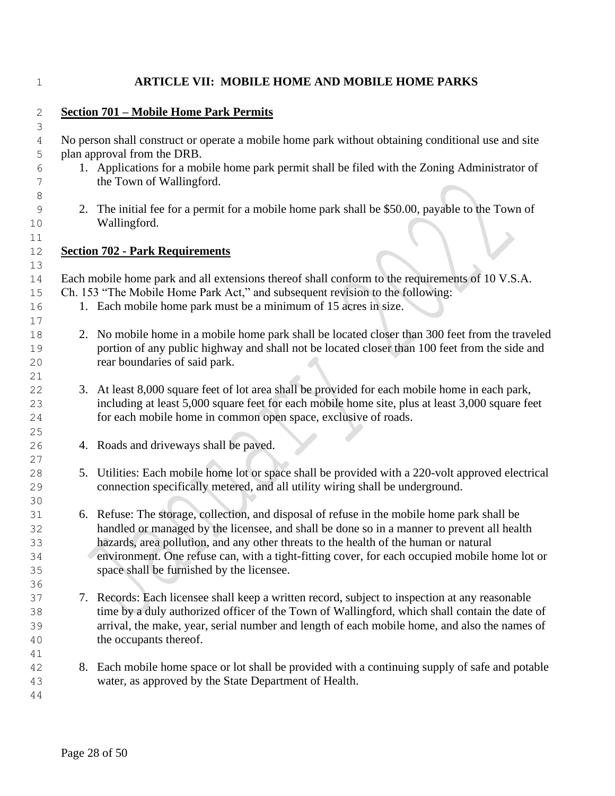## **ARTICLE VII: MOBILE HOME AND MOBILE HOME PARKS**

| $\mathbf{2}$ |    | <b>Section 701 - Mobile Home Park Permits</b>                                                                                                    |
|--------------|----|--------------------------------------------------------------------------------------------------------------------------------------------------|
| 3            |    |                                                                                                                                                  |
| 4            |    | No person shall construct or operate a mobile home park without obtaining conditional use and site                                               |
| 5<br>6       |    | plan approval from the DRB.<br>1. Applications for a mobile home park permit shall be filed with the Zoning Administrator of                     |
| 7            |    | the Town of Wallingford.                                                                                                                         |
| 8<br>9<br>10 |    | 2. The initial fee for a permit for a mobile home park shall be \$50.00, payable to the Town of<br>Wallingford.                                  |
| 11           |    |                                                                                                                                                  |
| 12           |    | <b>Section 702 - Park Requirements</b>                                                                                                           |
| 13           |    | Each mobile home park and all extensions thereof shall conform to the requirements of 10 V.S.A.                                                  |
| 14           |    |                                                                                                                                                  |
| 15<br>16     |    | Ch. 153 "The Mobile Home Park Act," and subsequent revision to the following:<br>1. Each mobile home park must be a minimum of 15 acres in size. |
| 17           |    |                                                                                                                                                  |
|              |    | 2. No mobile home in a mobile home park shall be located closer than 300 feet from the traveled                                                  |
| 18           |    |                                                                                                                                                  |
| 19           |    | portion of any public highway and shall not be located closer than 100 feet from the side and                                                    |
| 20           |    | rear boundaries of said park.                                                                                                                    |
| 21<br>22     |    | 3. At least 8,000 square feet of lot area shall be provided for each mobile home in each park,                                                   |
| 23           |    | including at least 5,000 square feet for each mobile home site, plus at least 3,000 square feet                                                  |
|              |    |                                                                                                                                                  |
| 24           |    | for each mobile home in common open space, exclusive of roads.                                                                                   |
| 25           |    |                                                                                                                                                  |
| 26<br>27     |    | 4. Roads and driveways shall be paved.                                                                                                           |
| 28           | 5. | Utilities: Each mobile home lot or space shall be provided with a 220-volt approved electrical                                                   |
| 29           |    | connection specifically metered, and all utility wiring shall be underground.                                                                    |
| 30           |    |                                                                                                                                                  |
| 31           |    | 6. Refuse: The storage, collection, and disposal of refuse in the mobile home park shall be                                                      |
| 32           |    | handled or managed by the licensee, and shall be done so in a manner to prevent all health                                                       |
| 33           |    | hazards, area pollution, and any other threats to the health of the human or natural                                                             |
| 34           |    | environment. One refuse can, with a tight-fitting cover, for each occupied mobile home lot or                                                    |
| 35           |    | space shall be furnished by the licensee.                                                                                                        |
| 36           |    |                                                                                                                                                  |
| 37           |    | 7. Records: Each licensee shall keep a written record, subject to inspection at any reasonable                                                   |
| 38           |    | time by a duly authorized officer of the Town of Wallingford, which shall contain the date of                                                    |
| 39           |    | arrival, the make, year, serial number and length of each mobile home, and also the names of                                                     |
| 40           |    | the occupants thereof.                                                                                                                           |
| 41           |    |                                                                                                                                                  |
| 42           |    | 8. Each mobile home space or lot shall be provided with a continuing supply of safe and potable                                                  |
| 43           |    | water, as approved by the State Department of Health.                                                                                            |
| 44           |    |                                                                                                                                                  |
|              |    |                                                                                                                                                  |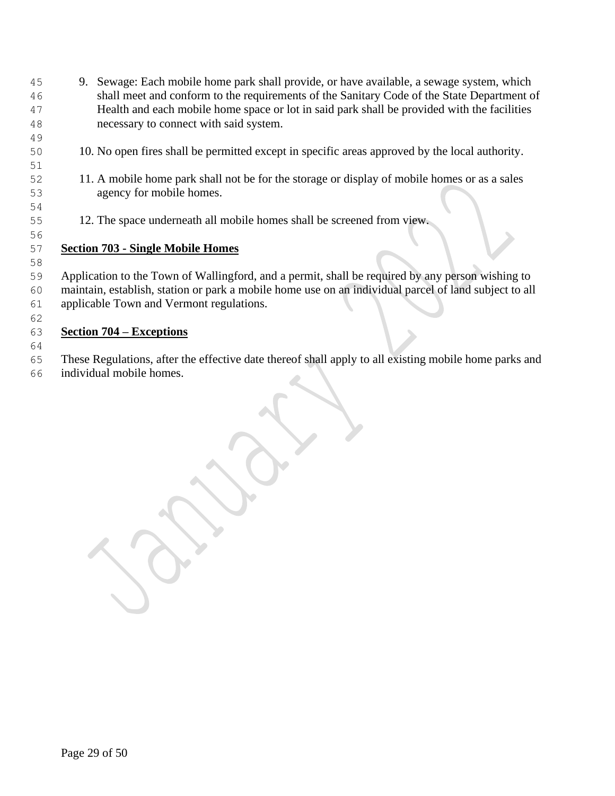- 9. Sewage: Each mobile home park shall provide, or have available, a sewage system, which shall meet and conform to the requirements of the Sanitary Code of the State Department of Health and each mobile home space or lot in said park shall be provided with the facilities necessary to connect with said system.
- 10. No open fires shall be permitted except in specific areas approved by the local authority.
- 11. A mobile home park shall not be for the storage or display of mobile homes or as a sales agency for mobile homes.
- 12. The space underneath all mobile homes shall be screened from view.

#### **Section 703 - Single Mobile Homes**

 Application to the Town of Wallingford, and a permit, shall be required by any person wishing to maintain, establish, station or park a mobile home use on an individual parcel of land subject to all applicable Town and Vermont regulations.

## **Section 704 – Exceptions**

 These Regulations, after the effective date thereof shall apply to all existing mobile home parks and individual mobile homes.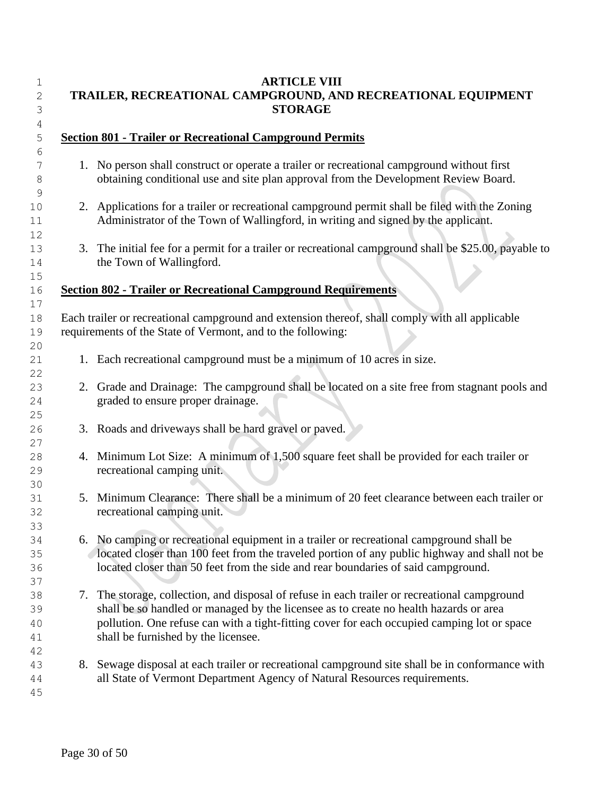| 1<br>2<br>3<br>4     | <b>ARTICLE VIII</b><br>TRAILER, RECREATIONAL CAMPGROUND, AND RECREATIONAL EQUIPMENT<br><b>STORAGE</b>                                                                                                                                                                                                                        |
|----------------------|------------------------------------------------------------------------------------------------------------------------------------------------------------------------------------------------------------------------------------------------------------------------------------------------------------------------------|
| 5                    | <b>Section 801 - Trailer or Recreational Campground Permits</b>                                                                                                                                                                                                                                                              |
| 6<br>7<br>8          | 1. No person shall construct or operate a trailer or recreational campground without first<br>obtaining conditional use and site plan approval from the Development Review Board.                                                                                                                                            |
| 9<br>10<br>11<br>12  | 2. Applications for a trailer or recreational campground permit shall be filed with the Zoning<br>Administrator of the Town of Wallingford, in writing and signed by the applicant.                                                                                                                                          |
| 13<br>14<br>15       | 3. The initial fee for a permit for a trailer or recreational campground shall be \$25.00, payable to<br>the Town of Wallingford.                                                                                                                                                                                            |
| 16                   | <b>Section 802 - Trailer or Recreational Campground Requirements</b>                                                                                                                                                                                                                                                         |
| 17<br>18<br>19<br>20 | Each trailer or recreational campground and extension thereof, shall comply with all applicable<br>requirements of the State of Vermont, and to the following:                                                                                                                                                               |
| 21<br>22             | 1. Each recreational campground must be a minimum of 10 acres in size.                                                                                                                                                                                                                                                       |
| 23<br>24<br>25       | 2. Grade and Drainage: The campground shall be located on a site free from stagnant pools and<br>graded to ensure proper drainage.                                                                                                                                                                                           |
| 26<br>27             | 3. Roads and driveways shall be hard gravel or paved.                                                                                                                                                                                                                                                                        |
| 28<br>29<br>30       | 4. Minimum Lot Size: A minimum of 1,500 square feet shall be provided for each trailer or<br>recreational camping unit.                                                                                                                                                                                                      |
| 31<br>32<br>33       | 5. Minimum Clearance: There shall be a minimum of 20 feet clearance between each trailer or<br>recreational camping unit.                                                                                                                                                                                                    |
| 34<br>35<br>36<br>37 | 6. No camping or recreational equipment in a trailer or recreational campground shall be<br>located closer than 100 feet from the traveled portion of any public highway and shall not be<br>located closer than 50 feet from the side and rear boundaries of said campground.                                               |
| 38<br>39<br>40<br>41 | 7. The storage, collection, and disposal of refuse in each trailer or recreational campground<br>shall be so handled or managed by the licensee as to create no health hazards or area<br>pollution. One refuse can with a tight-fitting cover for each occupied camping lot or space<br>shall be furnished by the licensee. |
| 42<br>43<br>44<br>45 | 8. Sewage disposal at each trailer or recreational campground site shall be in conformance with<br>all State of Vermont Department Agency of Natural Resources requirements.                                                                                                                                                 |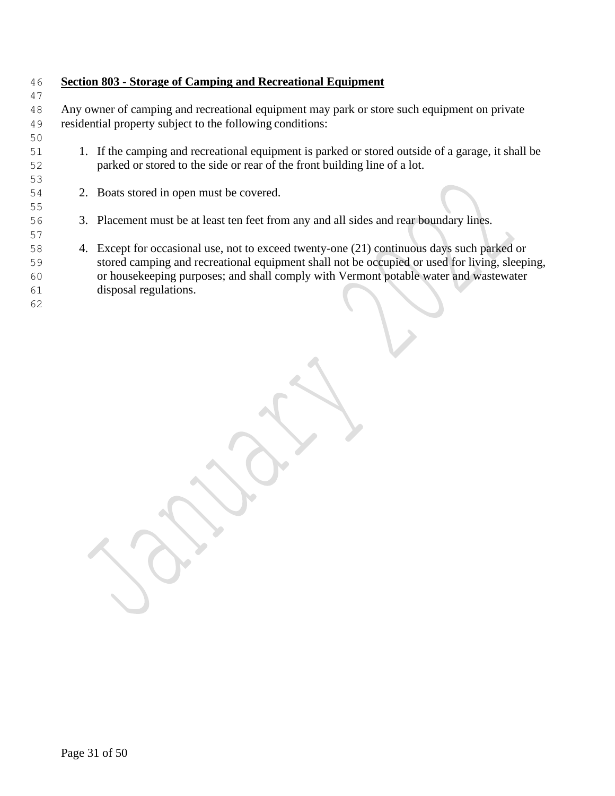## **Section 803 - Storage of Camping and Recreational Equipment**

 Any owner of camping and recreational equipment may park or store such equipment on private residential property subject to the following conditions:

- 1. If the camping and recreational equipment is parked or stored outside of a garage, it shall be parked or stored to the side or rear of the front building line of a lot.
- 

2. Boats stored in open must be covered.

- 3. Placement must be at least ten feet from any and all sides and rear boundary lines.
- 4. Except for occasional use, not to exceed twenty-one (21) continuous days such parked or stored camping and recreational equipment shall not be occupied or used for living, sleeping, or housekeeping purposes; and shall comply with Vermont potable water and wastewater disposal regulations.
-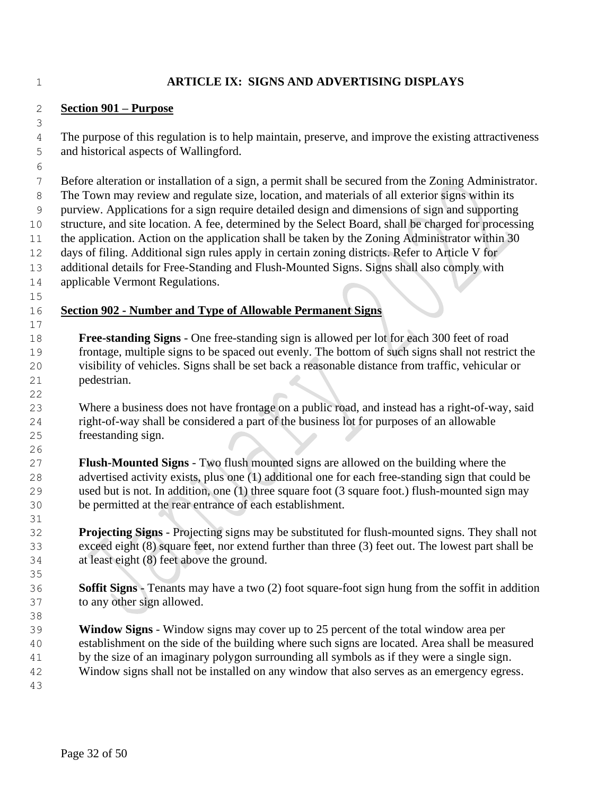#### **ARTICLE IX: SIGNS AND ADVERTISING DISPLAYS**

#### **Section 901 – Purpose**

 The purpose of this regulation is to help maintain, preserve, and improve the existing attractiveness and historical aspects of Wallingford.

Before alteration or installation of a sign, a permit shall be secured from the Zoning Administrator.

The Town may review and regulate size, location, and materials of all exterior signs within its

purview. Applications for a sign require detailed design and dimensions of sign and supporting

structure, and site location. A fee, determined by the Select Board, shall be charged for processing

11 the application. Action on the application shall be taken by the Zoning Administrator within 30 days of filing. Additional sign rules apply in certain zoning districts. Refer to Article V for

additional details for Free-Standing and Flush-Mounted Signs. Signs shall also comply with

applicable Vermont Regulations.

# **Section 902 - Number and Type of Allowable Permanent Signs**

 **Free-standing Signs** - One free-standing sign is allowed per lot for each 300 feet of road frontage, multiple signs to be spaced out evenly. The bottom of such signs shall not restrict the visibility of vehicles. Signs shall be set back a reasonable distance from traffic, vehicular or pedestrian.

 Where a business does not have frontage on a public road, and instead has a right-of-way, said right-of-way shall be considered a part of the business lot for purposes of an allowable freestanding sign.

 **Flush-Mounted Signs** - Two flush mounted signs are allowed on the building where the advertised activity exists, plus one (1) additional one for each free-standing sign that could be used but is not. In addition, one (1) three square foot (3 square foot.) flush-mounted sign may be permitted at the rear entrance of each establishment.

 **Projecting Signs** - Projecting signs may be substituted for flush-mounted signs. They shall not exceed eight (8) square feet, nor extend further than three (3) feet out. The lowest part shall be at least eight (8) feet above the ground.

 **Soffit Signs** - Tenants may have a two (2) foot square-foot sign hung from the soffit in addition to any other sign allowed.

 **Window Signs** - Window signs may cover up to 25 percent of the total window area per establishment on the side of the building where such signs are located. Area shall be measured by the size of an imaginary polygon surrounding all symbols as if they were a single sign.

Window signs shall not be installed on any window that also serves as an emergency egress.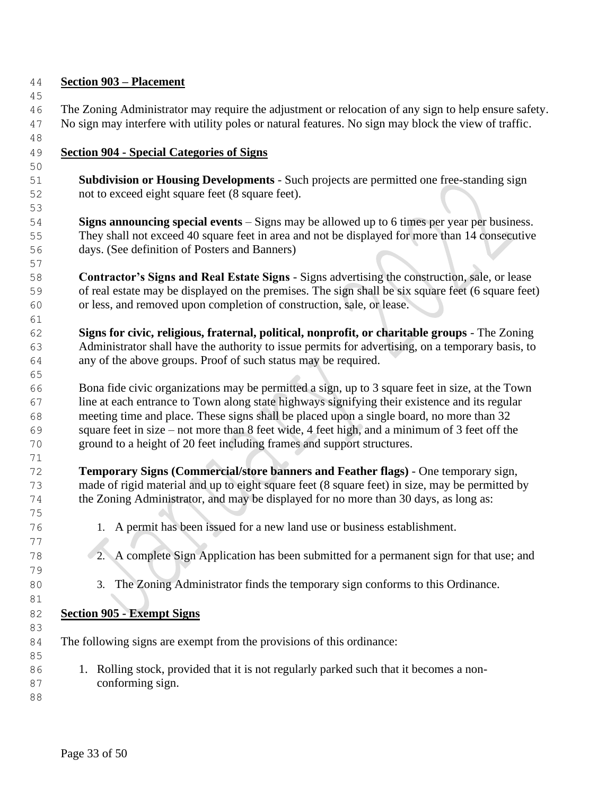## **Section 903 – Placement**

- The Zoning Administrator may require the adjustment or relocation of any sign to help ensure safety. No sign may interfere with utility poles or natural features. No sign may block the view of traffic.
- 

## **Section 904 - Special Categories of Signs**

- **Subdivision or Housing Developments** Such projects are permitted one free-standing sign not to exceed eight square feet (8 square feet).
- **Signs announcing special events** Signs may be allowed up to 6 times per year per business. They shall not exceed 40 square feet in area and not be displayed for more than 14 consecutive days. (See definition of Posters and Banners)
- **Contractor's Signs and Real Estate Signs** Signs advertising the construction, sale, or lease of real estate may be displayed on the premises. The sign shall be six square feet (6 square feet) or less, and removed upon completion of construction, sale, or lease.
- **Signs for civic, religious, fraternal, political, nonprofit, or charitable groups** The Zoning Administrator shall have the authority to issue permits for advertising, on a temporary basis, to any of the above groups. Proof of such status may be required.
- Bona fide civic organizations may be permitted a sign, up to 3 square feet in size, at the Town line at each entrance to Town along state highways signifying their existence and its regular meeting time and place. These signs shall be placed upon a single board, no more than 32 square feet in size – not more than 8 feet wide, 4 feet high, and a minimum of 3 feet off the ground to a height of 20 feet including frames and support structures.
- **Temporary Signs (Commercial/store banners and Feather flags)** One temporary sign, made of rigid material and up to eight square feet (8 square feet) in size, may be permitted by the Zoning Administrator, and may be displayed for no more than 30 days, as long as:
- 1. A permit has been issued for a new land use or business establishment.
- 2. A complete Sign Application has been submitted for a permanent sign for that use; and
- 3. The Zoning Administrator finds the temporary sign conforms to this Ordinance.
- **Section 905 - Exempt Signs**
- The following signs are exempt from the provisions of this ordinance:
- 1. Rolling stock, provided that it is not regularly parked such that it becomes a non-conforming sign.
-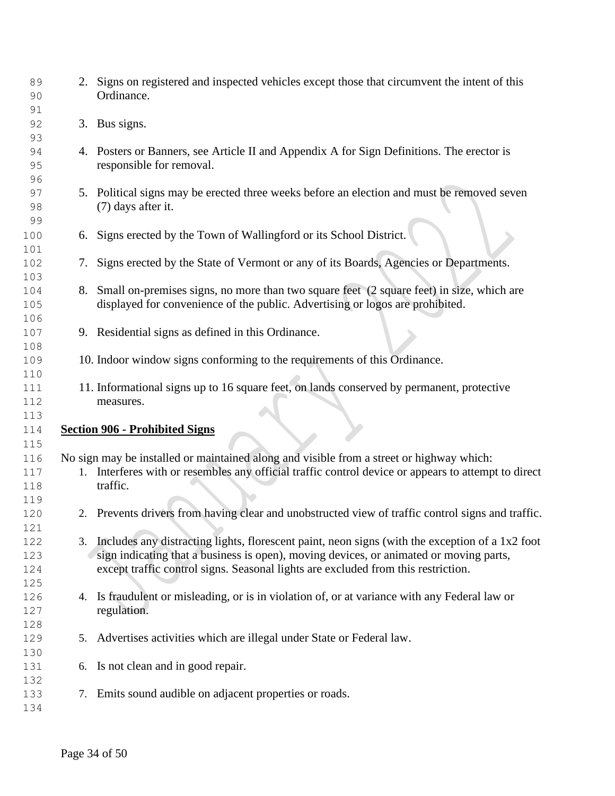| 89<br>90 |    | 2. Signs on registered and inspected vehicles except those that circumvent the intent of this<br>Ordinance. |
|----------|----|-------------------------------------------------------------------------------------------------------------|
| 91       |    |                                                                                                             |
| 92       |    | 3. Bus signs.                                                                                               |
| 93       |    |                                                                                                             |
| 94       |    | 4. Posters or Banners, see Article II and Appendix A for Sign Definitions. The erector is                   |
| 95       |    | responsible for removal.                                                                                    |
| 96       |    |                                                                                                             |
| 97       |    | 5. Political signs may be erected three weeks before an election and must be removed seven                  |
| 98       |    | (7) days after it.                                                                                          |
| 99       |    |                                                                                                             |
|          |    | 6. Signs erected by the Town of Wallingford or its School District.                                         |
| 100      |    |                                                                                                             |
| 101      |    |                                                                                                             |
| 102      | 7. | Signs erected by the State of Vermont or any of its Boards, Agencies or Departments.                        |
| 103      |    |                                                                                                             |
| 104      | 8. | Small on-premises signs, no more than two square feet (2 square feet) in size, which are                    |
| 105      |    | displayed for convenience of the public. Advertising or logos are prohibited.                               |
| 106      |    |                                                                                                             |
| 107      |    | 9. Residential signs as defined in this Ordinance.                                                          |
| 108      |    |                                                                                                             |
| 109      |    | 10. Indoor window signs conforming to the requirements of this Ordinance.                                   |
| 110      |    |                                                                                                             |
| 111      |    | 11. Informational signs up to 16 square feet, on lands conserved by permanent, protective                   |
| 112      |    | measures.                                                                                                   |
| 113      |    |                                                                                                             |
| 114      |    | <b>Section 906 - Prohibited Signs</b>                                                                       |
| 115      |    |                                                                                                             |
| 116      |    | No sign may be installed or maintained along and visible from a street or highway which:                    |
| 117      |    | 1. Interferes with or resembles any official traffic control device or appears to attempt to direct         |
| 118      |    | traffic.                                                                                                    |
| 119      |    |                                                                                                             |
| 120      |    | 2. Prevents drivers from having clear and unobstructed view of traffic control signs and traffic.           |
| 121      |    |                                                                                                             |
| 122      |    | 3. Includes any distracting lights, florescent paint, neon signs (with the exception of a 1x2 foot          |
| 123      |    | sign indicating that a business is open), moving devices, or animated or moving parts,                      |
| 124      |    | except traffic control signs. Seasonal lights are excluded from this restriction.                           |
| 125      |    |                                                                                                             |
| 126      | 4. | Is fraudulent or misleading, or is in violation of, or at variance with any Federal law or                  |
|          |    | regulation.                                                                                                 |
| 127      |    |                                                                                                             |
| 128      |    |                                                                                                             |
| 129      |    | 5. Advertises activities which are illegal under State or Federal law.                                      |
| 130      |    |                                                                                                             |
| 131      | 6. | Is not clean and in good repair.                                                                            |
| 132      |    |                                                                                                             |
| 133      | 7. | Emits sound audible on adjacent properties or roads.                                                        |
| 134      |    |                                                                                                             |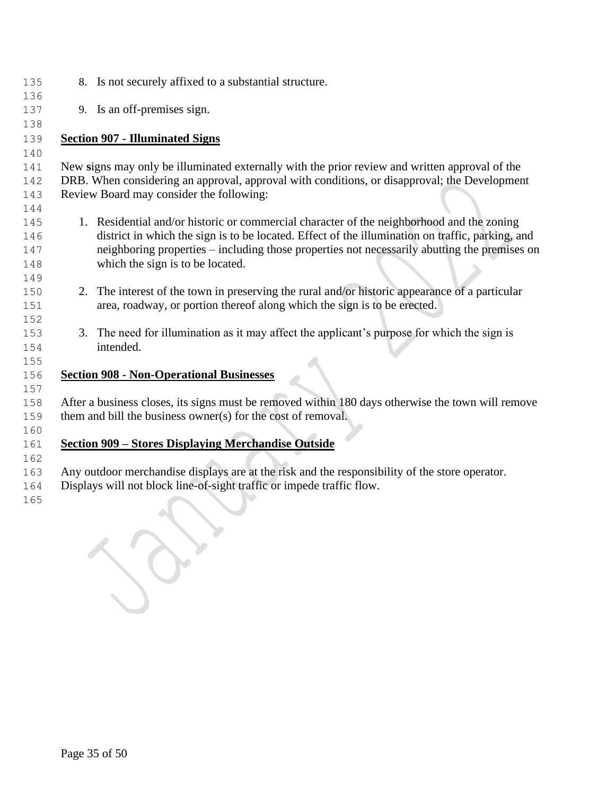| 135        | 8. Is not securely affixed to a substantial structure.                                            |
|------------|---------------------------------------------------------------------------------------------------|
| 136        |                                                                                                   |
| 137        | 9. Is an off-premises sign.                                                                       |
| 138        |                                                                                                   |
| 139        | <b>Section 907 - Illuminated Signs</b>                                                            |
| 140        |                                                                                                   |
| 141        | New signs may only be illuminated externally with the prior review and written approval of the    |
| 142        | DRB. When considering an approval, approval with conditions, or disapproval; the Development      |
| 143        | Review Board may consider the following:                                                          |
| 144<br>145 | 1. Residential and/or historic or commercial character of the neighborhood and the zoning         |
| 146        | district in which the sign is to be located. Effect of the illumination on traffic, parking, and  |
| 147        | neighboring properties – including those properties not necessarily abutting the premises on      |
| 148        | which the sign is to be located.                                                                  |
| 149        |                                                                                                   |
| 150        | 2. The interest of the town in preserving the rural and/or historic appearance of a particular    |
| 151        | area, roadway, or portion thereof along which the sign is to be erected.                          |
| 152        |                                                                                                   |
| 153        | 3. The need for illumination as it may affect the applicant's purpose for which the sign is       |
| 154        | intended.                                                                                         |
| 155        |                                                                                                   |
| 156        | <b>Section 908 - Non-Operational Businesses</b>                                                   |
| 157        |                                                                                                   |
| 158        | After a business closes, its signs must be removed within 180 days otherwise the town will remove |
| 159        | them and bill the business owner(s) for the cost of removal.                                      |
| 160        |                                                                                                   |
| 161        | <b>Section 909 - Stores Displaying Merchandise Outside</b>                                        |
| 162        |                                                                                                   |
| 163        | Any outdoor merchandise displays are at the risk and the responsibility of the store operator.    |

Displays will not block line-of-sight traffic or impede traffic flow.

R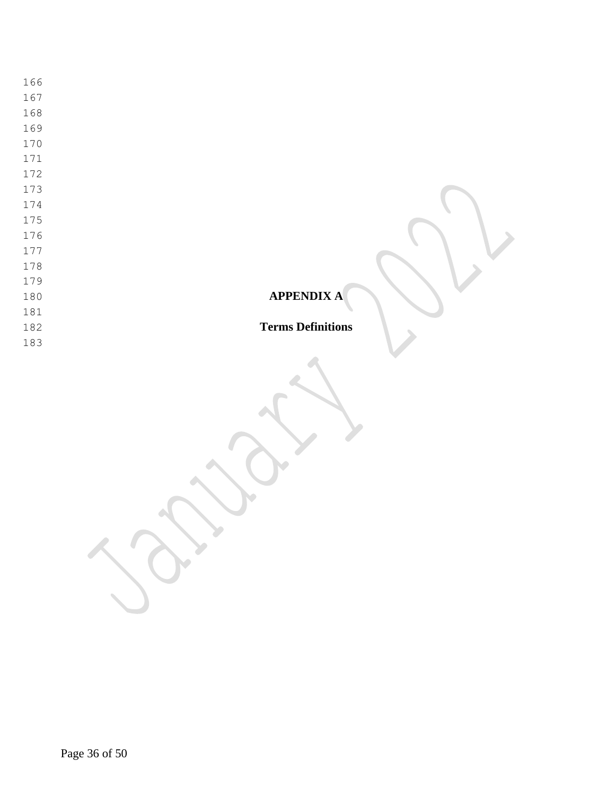**APPENDIX A Terms Definitions**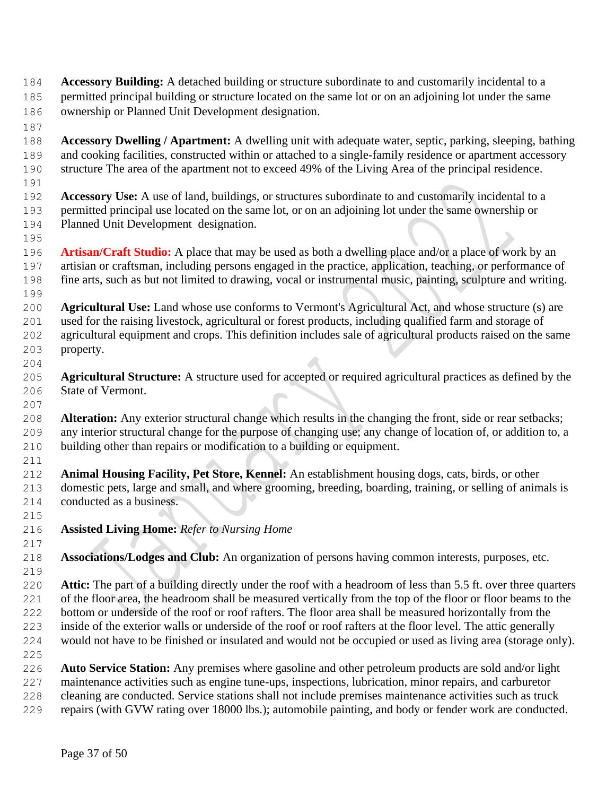- **Accessory Building:** A detached building or structure subordinate to and customarily incidental to a permitted principal building or structure located on the same lot or on an adjoining lot under the same ownership or Planned Unit Development designation.
- **Accessory Dwelling / Apartment:** A dwelling unit with adequate water, septic, parking, sleeping, bathing and cooking facilities, constructed within or attached to a single-family residence or apartment accessory structure The area of the apartment not to exceed 49% of the Living Area of the principal residence.
- 

- **Accessory Use:** A use of land, buildings, or structures subordinate to and customarily incidental to a permitted principal use located on the same lot, or on an adjoining lot under the same ownership or Planned Unit Development designation.
- **Artisan/Craft Studio:** A place that may be used as both a dwelling place and/or a place of work by an artisian or craftsman, including persons engaged in the practice, application, teaching, or performance of fine arts, such as but not limited to drawing, vocal or instrumental music, painting, sculpture and writing.
- **Agricultural Use:** Land whose use conforms to Vermont's Agricultural Act, and whose structure (s) are used for the raising livestock, agricultural or forest products, including qualified farm and storage of agricultural equipment and crops. This definition includes sale of agricultural products raised on the same property.
- **Agricultural Structure:** A structure used for accepted or required agricultural practices as defined by the State of Vermont.
- **Alteration:** Any exterior structural change which results in the changing the front, side or rear setbacks; any interior structural change for the purpose of changing use; any change of location of, or addition to, a building other than repairs or modification to a building or equipment.
- **Animal Housing Facility, Pet Store, Kennel:** An establishment housing dogs, cats, birds, or other domestic pets, large and small, and where grooming, breeding, boarding, training, or selling of animals is conducted as a business.
- **Assisted Living Home:** *Refer to Nursing Home*
- **Associations/Lodges and Club:** An organization of persons having common interests, purposes, etc.
- **Attic:** The part of a building directly under the roof with a headroom of less than 5.5 ft. over three quarters 221 of the floor area, the headroom shall be measured vertically from the top of the floor or floor beams to the bottom or underside of the roof or roof rafters. The floor area shall be measured horizontally from the inside of the exterior walls or underside of the roof or roof rafters at the floor level. The attic generally would not have to be finished or insulated and would not be occupied or used as living area (storage only).
- **Auto Service Station:** Any premises where gasoline and other petroleum products are sold and/or light maintenance activities such as engine tune-ups, inspections, lubrication, minor repairs, and carburetor cleaning are conducted. Service stations shall not include premises maintenance activities such as truck repairs (with GVW rating over 18000 lbs.); automobile painting, and body or fender work are conducted.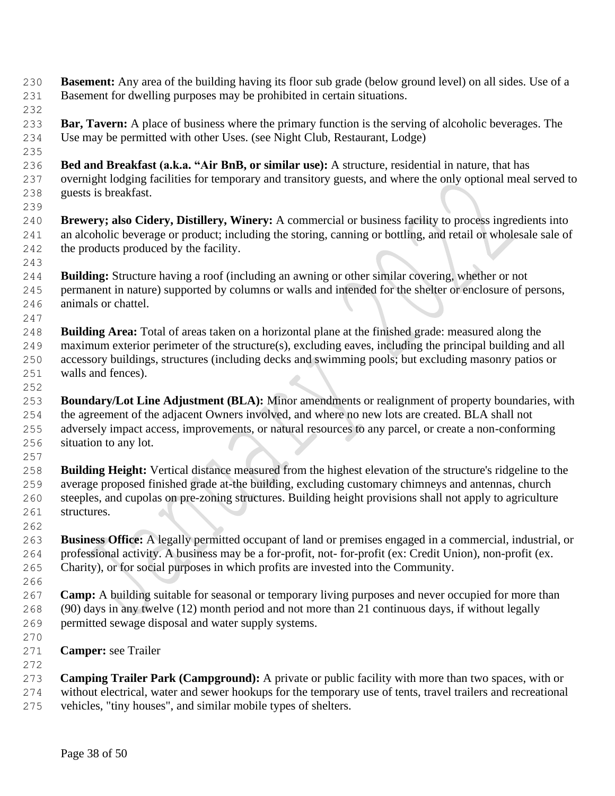- **Basement:** Any area of the building having its floor sub grade (below ground level) on all sides. Use of a Basement for dwelling purposes may be prohibited in certain situations.
- 

 **Bar, Tavern:** A place of business where the primary function is the serving of alcoholic beverages. The Use may be permitted with other Uses. (see Night Club, Restaurant, Lodge)

- **Bed and Breakfast (a.k.a. "Air BnB, or similar use):** A structure, residential in nature, that has overnight lodging facilities for temporary and transitory guests, and where the only optional meal served to guests is breakfast.
- **Brewery; also Cidery, Distillery, Winery:** A commercial or business facility to process ingredients into an alcoholic beverage or product; including the storing, canning or bottling, and retail or wholesale sale of the products produced by the facility.
- **Building:** Structure having a roof (including an awning or other similar covering, whether or not permanent in nature) supported by columns or walls and intended for the shelter or enclosure of persons, animals or chattel.
- **Building Area:** Total of areas taken on a horizontal plane at the finished grade: measured along the maximum exterior perimeter of the structure(s), excluding eaves, including the principal building and all accessory buildings, structures (including decks and swimming pools; but excluding masonry patios or walls and fences).
- **Boundary/Lot Line Adjustment (BLA):** Minor amendments or realignment of property boundaries, with the agreement of the adjacent Owners involved, and where no new lots are created. BLA shall not adversely impact access, improvements, or natural resources to any parcel, or create a non-conforming situation to any lot.
- 

 **Building Height:** Vertical distance measured from the highest elevation of the structure's ridgeline to the average proposed finished grade at-the building, excluding customary chimneys and antennas, church steeples, and cupolas on pre-zoning structures. Building height provisions shall not apply to agriculture structures.

- **Business Office:** A legally permitted occupant of land or premises engaged in a commercial, industrial, or professional activity. A business may be a for-profit, not- for-profit (ex: Credit Union), non-profit (ex. Charity), or for social purposes in which profits are invested into the Community.
- **Camp:** A building suitable for seasonal or temporary living purposes and never occupied for more than (90) days in any twelve (12) month period and not more than 21 continuous days, if without legally permitted sewage disposal and water supply systems.
- 

- **Camper:** see Trailer
- **Camping Trailer Park (Campground):** A private or public facility with more than two spaces, with or without electrical, water and sewer hookups for the temporary use of tents, travel trailers and recreational vehicles, "tiny houses", and similar mobile types of shelters.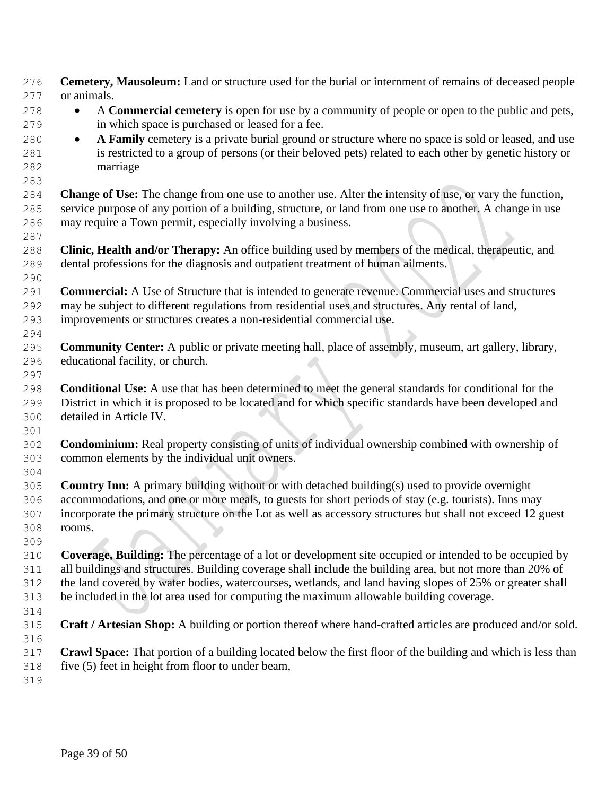**Cemetery, Mausoleum:** Land or structure used for the burial or internment of remains of deceased people or animals. • A **Commercial cemetery** is open for use by a community of people or open to the public and pets, in which space is purchased or leased for a fee. 280 • **A Family** cemetery is a private burial ground or structure where no space is sold or leased, and use is restricted to a group of persons (or their beloved pets) related to each other by genetic history or marriage **Change of Use:** The change from one use to another use. Alter the intensity of use, or vary the function, service purpose of any portion of a building, structure, or land from one use to another. A change in use may require a Town permit, especially involving a business. **Clinic, Health and/or Therapy:** An office building used by members of the medical, therapeutic, and dental professions for the diagnosis and outpatient treatment of human ailments. **Commercial:** A Use of Structure that is intended to generate revenue. Commercial uses and structures may be subject to different regulations from residential uses and structures. Any rental of land, improvements or structures creates a non-residential commercial use. **Community Center:** A public or private meeting hall, place of assembly, museum, art gallery, library, educational facility, or church. **Conditional Use:** A use that has been determined to meet the general standards for conditional for the District in which it is proposed to be located and for which specific standards have been developed and detailed in Article IV. **Condominium:** Real property consisting of units of individual ownership combined with ownership of common elements by the individual unit owners. **Country Inn:** A primary building without or with detached building(s) used to provide overnight accommodations, and one or more meals, to guests for short periods of stay (e.g. tourists). Inns may incorporate the primary structure on the Lot as well as accessory structures but shall not exceed 12 guest rooms. **Coverage, Building:** The percentage of a lot or development site occupied or intended to be occupied by all buildings and structures. Building coverage shall include the building area, but not more than 20% of the land covered by water bodies, watercourses, wetlands, and land having slopes of 25% or greater shall be included in the lot area used for computing the maximum allowable building coverage. **Craft / Artesian Shop:** A building or portion thereof where hand-crafted articles are produced and/or sold. **Crawl Space:** That portion of a building located below the first floor of the building and which is less than five (5) feet in height from floor to under beam,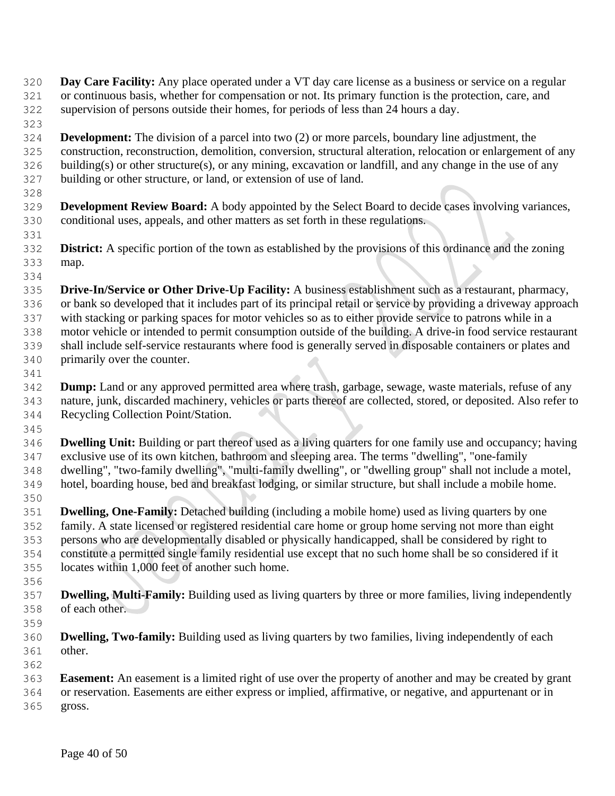- **Day Care Facility:** Any place operated under a VT day care license as a business or service on a regular or continuous basis, whether for compensation or not. Its primary function is the protection, care, and supervision of persons outside their homes, for periods of less than 24 hours a day.
- **Development:** The division of a parcel into two (2) or more parcels, boundary line adjustment, the construction, reconstruction, demolition, conversion, structural alteration, relocation or enlargement of any building(s) or other structure(s), or any mining, excavation or landfill, and any change in the use of any building or other structure, or land, or extension of use of land.
- **Development Review Board:** A body appointed by the Select Board to decide cases involving variances, conditional uses, appeals, and other matters as set forth in these regulations.
- **District:** A specific portion of the town as established by the provisions of this ordinance and the zoning map.
- **Drive-In/Service or Other Drive-Up Facility:** A business establishment such as a restaurant, pharmacy, or bank so developed that it includes part of its principal retail or service by providing a driveway approach with stacking or parking spaces for motor vehicles so as to either provide service to patrons while in a motor vehicle or intended to permit consumption outside of the building. A drive-in food service restaurant shall include self-service restaurants where food is generally served in disposable containers or plates and primarily over the counter.
- 

- **Dump:** Land or any approved permitted area where trash, garbage, sewage, waste materials, refuse of any nature, junk, discarded machinery, vehicles or parts thereof are collected, stored, or deposited. Also refer to Recycling Collection Point/Station.
- **Dwelling Unit:** Building or part thereof used as a living quarters for one family use and occupancy; having exclusive use of its own kitchen, bathroom and sleeping area. The terms "dwelling", "one-family dwelling", "two-family dwelling", "multi-family dwelling", or "dwelling group" shall not include a motel, hotel, boarding house, bed and breakfast lodging, or similar structure, but shall include a mobile home.
- **Dwelling, One-Family:** Detached building (including a mobile home) used as living quarters by one family. A state licensed or registered residential care home or group home serving not more than eight persons who are developmentally disabled or physically handicapped, shall be considered by right to constitute a permitted single family residential use except that no such home shall be so considered if it locates within 1,000 feet of another such home.
- 
- **Dwelling, Multi-Family:** Building used as living quarters by three or more families, living independently of each other.
- 
- **Dwelling, Two-family:** Building used as living quarters by two families, living independently of each other.
- **Easement:** An easement is a limited right of use over the property of another and may be created by grant or reservation. Easements are either express or implied, affirmative, or negative, and appurtenant or in
- gross.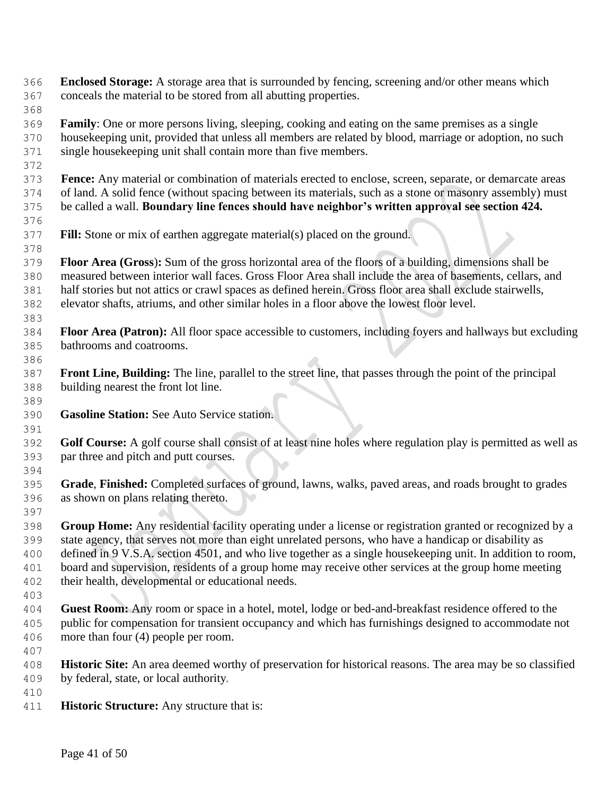**Enclosed Storage:** A storage area that is surrounded by fencing, screening and/or other means which conceals the material to be stored from all abutting properties.

 **Family**: One or more persons living, sleeping, cooking and eating on the same premises as a single housekeeping unit, provided that unless all members are related by blood, marriage or adoption, no such single housekeeping unit shall contain more than five members.

 **Fence:** Any material or combination of materials erected to enclose, screen, separate, or demarcate areas of land. A solid fence (without spacing between its materials, such as a stone or masonry assembly) must be called a wall. **Boundary line fences should have neighbor's written approval see section 424.** 

**Fill:** Stone or mix of earthen aggregate material(s) placed on the ground.

 **Floor Area (Gross**)**:** Sum of the gross horizontal area of the floors of a building, dimensions shall be measured between interior wall faces. Gross Floor Area shall include the area of basements, cellars, and half stories but not attics or crawl spaces as defined herein. Gross floor area shall exclude stairwells, elevator shafts, atriums, and other similar holes in a floor above the lowest floor level.

- **Floor Area (Patron):** All floor space accessible to customers, including foyers and hallways but excluding bathrooms and coatrooms.
- **Front Line, Building:** The line, parallel to the street line, that passes through the point of the principal building nearest the front lot line.
- **Gasoline Station:** See Auto Service station.
- **Golf Course:** A golf course shall consist of at least nine holes where regulation play is permitted as well as par three and pitch and putt courses.
- **Grade**, **Finished:** Completed surfaces of ground, lawns, walks, paved areas, and roads brought to grades as shown on plans relating thereto.

 **Group Home:** Any residential facility operating under a license or registration granted or recognized by a state agency, that serves not more than eight unrelated persons, who have a handicap or disability as defined in 9 V.S.A. section 4501, and who live together as a single housekeeping unit. In addition to room, board and supervision, residents of a group home may receive other services at the group home meeting their health, developmental or educational needs.

- **Guest Room:** Any room or space in a hotel, motel, lodge or bed-and-breakfast residence offered to the public for compensation for transient occupancy and which has furnishings designed to accommodate not more than four (4) people per room.
- 

- **Historic Site:** An area deemed worthy of preservation for historical reasons. The area may be so classified by federal, state, or local authority
- 
- **Historic Structure:** Any structure that is: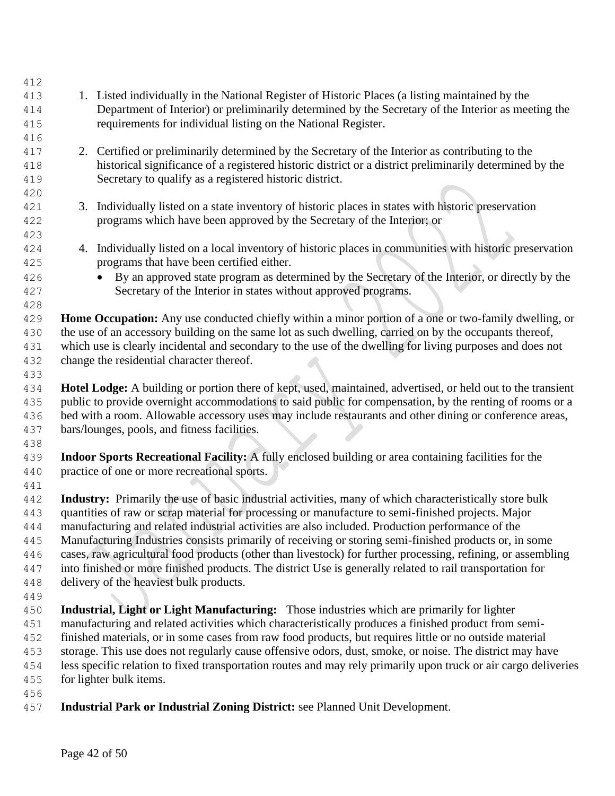| 412 |                                                                                                                 |
|-----|-----------------------------------------------------------------------------------------------------------------|
| 413 | 1. Listed individually in the National Register of Historic Places (a listing maintained by the                 |
| 414 | Department of Interior) or preliminarily determined by the Secretary of the Interior as meeting the             |
| 415 | requirements for individual listing on the National Register.                                                   |
| 416 |                                                                                                                 |
| 417 | 2. Certified or preliminarily determined by the Secretary of the Interior as contributing to the                |
| 418 | historical significance of a registered historic district or a district preliminarily determined by the         |
| 419 | Secretary to qualify as a registered historic district.                                                         |
| 420 |                                                                                                                 |
| 421 | 3. Individually listed on a state inventory of historic places in states with historic preservation             |
| 422 | programs which have been approved by the Secretary of the Interior; or                                          |
| 423 |                                                                                                                 |
| 424 | 4. Individually listed on a local inventory of historic places in communities with historic preservation        |
| 425 | programs that have been certified either.                                                                       |
| 426 | By an approved state program as determined by the Secretary of the Interior, or directly by the                 |
| 427 | Secretary of the Interior in states without approved programs.                                                  |
| 428 |                                                                                                                 |
| 429 | Home Occupation: Any use conducted chiefly within a minor portion of a one or two-family dwelling, or           |
| 430 | the use of an accessory building on the same lot as such dwelling, carried on by the occupants thereof,         |
| 431 | which use is clearly incidental and secondary to the use of the dwelling for living purposes and does not       |
| 432 | change the residential character thereof.                                                                       |
| 433 |                                                                                                                 |
| 434 | Hotel Lodge: A building or portion there of kept, used, maintained, advertised, or held out to the transient    |
| 435 | public to provide overnight accommodations to said public for compensation, by the renting of rooms or a        |
| 436 | bed with a room. Allowable accessory uses may include restaurants and other dining or conference areas,         |
| 437 | bars/lounges, pools, and fitness facilities.                                                                    |
| 438 |                                                                                                                 |
| 439 | Indoor Sports Recreational Facility: A fully enclosed building or area containing facilities for the            |
| 440 | practice of one or more recreational sports.                                                                    |
| 441 |                                                                                                                 |
| 442 | Industry: Primarily the use of basic industrial activities, many of which characteristically store bulk         |
| 443 | quantities of raw or scrap material for processing or manufacture to semi-finished projects. Major              |
| 444 | manufacturing and related industrial activities are also included. Production performance of the                |
| 445 | Manufacturing Industries consists primarily of receiving or storing semi-finished products or, in some          |
| 446 | cases, raw agricultural food products (other than livestock) for further processing, refining, or assembling    |
| 447 | into finished or more finished products. The district Use is generally related to rail transportation for       |
| 448 | delivery of the heaviest bulk products.                                                                         |
| 449 |                                                                                                                 |
| 450 | Industrial, Light or Light Manufacturing: Those industries which are primarily for lighter                      |
| 451 | manufacturing and related activities which characteristically produces a finished product from semi-            |
| 452 | finished materials, or in some cases from raw food products, but requires little or no outside material         |
| 453 | storage. This use does not regularly cause offensive odors, dust, smoke, or noise. The district may have        |
| 454 | less specific relation to fixed transportation routes and may rely primarily upon truck or air cargo deliveries |
| 455 | for lighter bulk items.                                                                                         |
| 456 |                                                                                                                 |
| 457 | Industrial Park or Industrial Zoning District: see Planned Unit Development.                                    |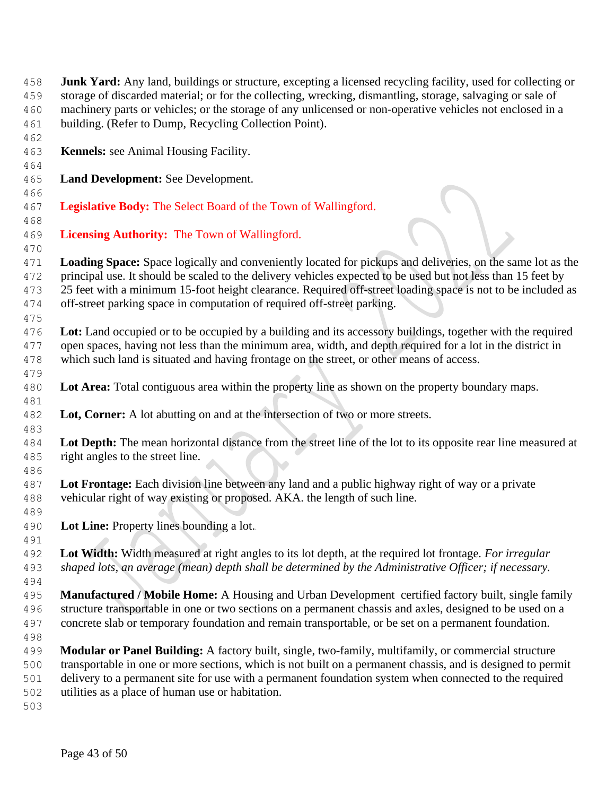| 458 | <b>Junk Yard:</b> Any land, buildings or structure, excepting a licensed recycling facility, used for collecting or |
|-----|---------------------------------------------------------------------------------------------------------------------|
| 459 | storage of discarded material; or for the collecting, wrecking, dismantling, storage, salvaging or sale of          |
| 460 | machinery parts or vehicles; or the storage of any unlicensed or non-operative vehicles not enclosed in a           |
| 461 | building. (Refer to Dump, Recycling Collection Point).                                                              |
| 462 |                                                                                                                     |
| 463 | Kennels: see Animal Housing Facility.                                                                               |
| 464 |                                                                                                                     |
| 465 | Land Development: See Development.                                                                                  |
| 466 |                                                                                                                     |
| 467 | Legislative Body: The Select Board of the Town of Wallingford.                                                      |
| 468 |                                                                                                                     |
| 469 | Licensing Authority: The Town of Wallingford.                                                                       |
| 470 |                                                                                                                     |
| 471 | <b>Loading Space:</b> Space logically and conveniently located for pickups and deliveries, on the same lot as the   |
| 472 | principal use. It should be scaled to the delivery vehicles expected to be used but not less than 15 feet by        |
| 473 | 25 feet with a minimum 15-foot height clearance. Required off-street loading space is not to be included as         |
| 474 | off-street parking space in computation of required off-street parking.                                             |
| 475 |                                                                                                                     |
| 476 | Lot: Land occupied or to be occupied by a building and its accessory buildings, together with the required          |
| 477 | open spaces, having not less than the minimum area, width, and depth required for a lot in the district in          |
| 478 | which such land is situated and having frontage on the street, or other means of access.                            |
| 479 |                                                                                                                     |
| 480 | Lot Area: Total contiguous area within the property line as shown on the property boundary maps.                    |
|     |                                                                                                                     |
| 481 | Lot, Corner: A lot abutting on and at the intersection of two or more streets.                                      |
| 482 |                                                                                                                     |
| 483 |                                                                                                                     |
| 484 | Lot Depth: The mean horizontal distance from the street line of the lot to its opposite rear line measured at       |
| 485 | right angles to the street line.                                                                                    |
| 486 |                                                                                                                     |
| 487 | Lot Frontage: Each division line between any land and a public highway right of way or a private                    |
| 488 | vehicular right of way existing or proposed. AKA. the length of such line.                                          |
| 489 |                                                                                                                     |
| 490 | Lot Line: Property lines bounding a lot.                                                                            |
| 491 | Lot Width: Width measured at right angles to its lot depth, at the required lot frontage. For irregular             |
| 492 |                                                                                                                     |
| 493 | shaped lots, an average (mean) depth shall be determined by the Administrative Officer; if necessary.               |
| 494 |                                                                                                                     |
| 495 | Manufactured / Mobile Home: A Housing and Urban Development certified factory built, single family                  |
| 496 | structure transportable in one or two sections on a permanent chassis and axles, designed to be used on a           |
| 497 | concrete slab or temporary foundation and remain transportable, or be set on a permanent foundation.                |
| 498 |                                                                                                                     |
| 499 | Modular or Panel Building: A factory built, single, two-family, multifamily, or commercial structure                |
| 500 | transportable in one or more sections, which is not built on a permanent chassis, and is designed to permit         |
| 501 | delivery to a permanent site for use with a permanent foundation system when connected to the required              |
| 502 | utilities as a place of human use or habitation.                                                                    |
| 503 |                                                                                                                     |
|     |                                                                                                                     |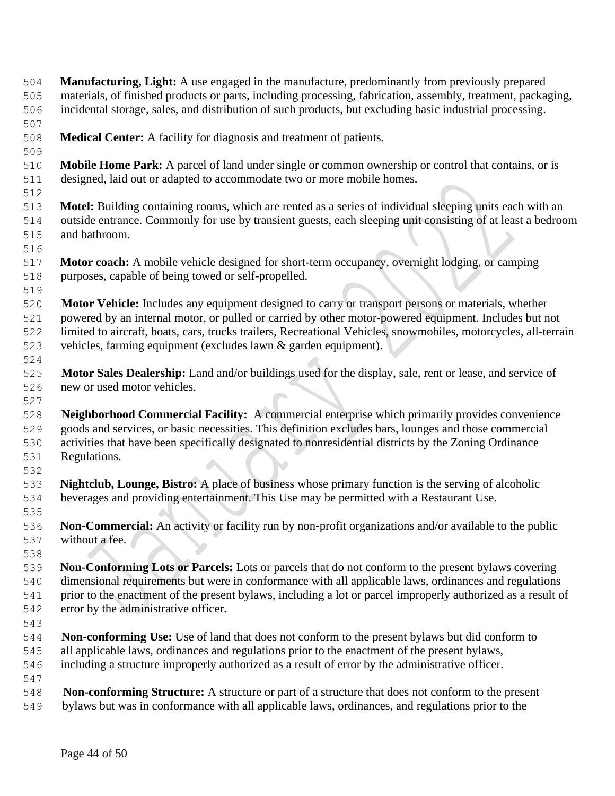**Manufacturing, Light:** A use engaged in the manufacture, predominantly from previously prepared materials, of finished products or parts, including processing, fabrication, assembly, treatment, packaging, incidental storage, sales, and distribution of such products, but excluding basic industrial processing.

- **Medical Center:** A facility for diagnosis and treatment of patients.
- **Mobile Home Park:** A parcel of land under single or common ownership or control that contains, or is designed, laid out or adapted to accommodate two or more mobile homes.
- **Motel:** Building containing rooms, which are rented as a series of individual sleeping units each with an outside entrance. Commonly for use by transient guests, each sleeping unit consisting of at least a bedroom and bathroom.
- 

- **Motor coach:** A mobile vehicle designed for short-term occupancy, overnight lodging, or camping purposes, capable of being towed or self-propelled.
- 

- **Motor Vehicle:** Includes any equipment designed to carry or transport persons or materials, whether powered by an internal motor, or pulled or carried by other motor-powered equipment. Includes but not limited to aircraft, boats, cars, trucks trailers, Recreational Vehicles, snowmobiles, motorcycles, all-terrain vehicles, farming equipment (excludes lawn & garden equipment).
- **Motor Sales Dealership:** Land and/or buildings used for the display, sale, rent or lease, and service of new or used motor vehicles.
- **Neighborhood Commercial Facility:** A commercial enterprise which primarily provides convenience goods and services, or basic necessities. This definition excludes bars, lounges and those commercial activities that have been specifically designated to nonresidential districts by the Zoning Ordinance Regulations.
- **Nightclub, Lounge, Bistro:** A place of business whose primary function is the serving of alcoholic beverages and providing entertainment. This Use may be permitted with a Restaurant Use.
- **Non-Commercial:** An activity or facility run by non-profit organizations and/or available to the public without a fee.
- **Non-Conforming Lots or Parcels:** Lots or parcels that do not conform to the present bylaws covering dimensional requirements but were in conformance with all applicable laws, ordinances and regulations prior to the enactment of the present bylaws, including a lot or parcel improperly authorized as a result of error by the administrative officer.
- 

- **Non-conforming Use:** Use of land that does not conform to the present bylaws but did conform to all applicable laws, ordinances and regulations prior to the enactment of the present bylaws, including a structure improperly authorized as a result of error by the administrative officer.
- **Non-conforming Structure:** A structure or part of a structure that does not conform to the present bylaws but was in conformance with all applicable laws, ordinances, and regulations prior to the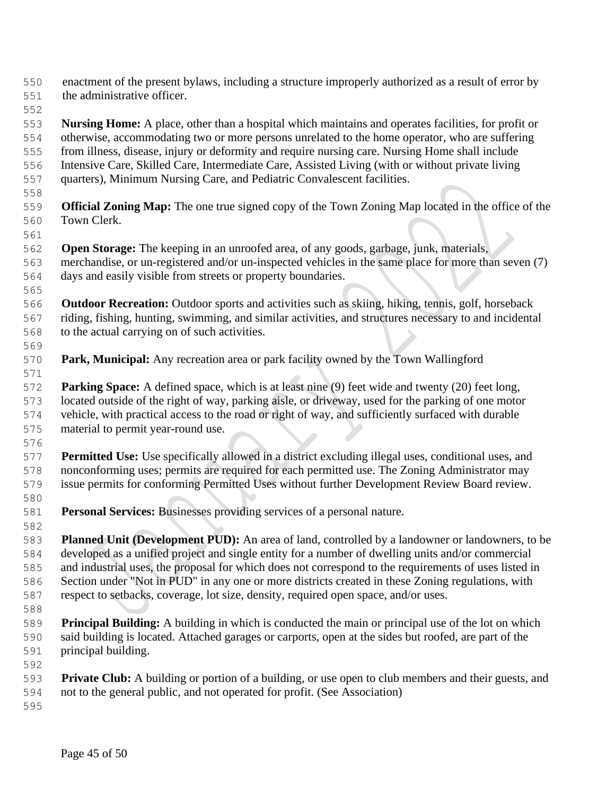- enactment of the present bylaws, including a structure improperly authorized as a result of error by the administrative officer.
- 

 **Nursing Home:** A place, other than a hospital which maintains and operates facilities, for profit or otherwise, accommodating two or more persons unrelated to the home operator, who are suffering from illness, disease, injury or deformity and require nursing care. Nursing Home shall include Intensive Care, Skilled Care, Intermediate Care, Assisted Living (with or without private living

- quarters), Minimum Nursing Care, and Pediatric Convalescent facilities.
- **Official Zoning Map:** The one true signed copy of the Town Zoning Map located in the office of the Town Clerk.
- **Open Storage:** The keeping in an unroofed area, of any goods, garbage, junk, materials, merchandise, or un-registered and/or un-inspected vehicles in the same place for more than seven (7) days and easily visible from streets or property boundaries.
- **Outdoor Recreation:** Outdoor sports and activities such as skiing, hiking, tennis, golf, horseback riding, fishing, hunting, swimming, and similar activities, and structures necessary to and incidental to the actual carrying on of such activities.
- **Park, Municipal:** Any recreation area or park facility owned by the Town Wallingford
- **Parking Space:** A defined space, which is at least nine (9) feet wide and twenty (20) feet long, located outside of the right of way, parking aisle, or driveway, used for the parking of one motor vehicle, with practical access to the road or right of way, and sufficiently surfaced with durable material to permit year-round use.
- **Permitted Use:** Use specifically allowed in a district excluding illegal uses, conditional uses, and nonconforming uses; permits are required for each permitted use. The Zoning Administrator may issue permits for conforming Permitted Uses without further Development Review Board review.
- **Personal Services:** Businesses providing services of a personal nature.
- **Planned Unit (Development PUD):** An area of land, controlled by a landowner or landowners, to be developed as a unified project and single entity for a number of dwelling units and/or commercial and industrial uses, the proposal for which does not correspond to the requirements of uses listed in Section under "Not in PUD" in any one or more districts created in these Zoning regulations, with respect to setbacks, coverage, lot size, density, required open space, and/or uses.
- **Principal Building:** A building in which is conducted the main or principal use of the lot on which said building is located. Attached garages or carports, open at the sides but roofed, are part of the principal building.
- **Private Club:** A building or portion of a building, or use open to club members and their guests, and not to the general public, and not operated for profit. (See Association)
-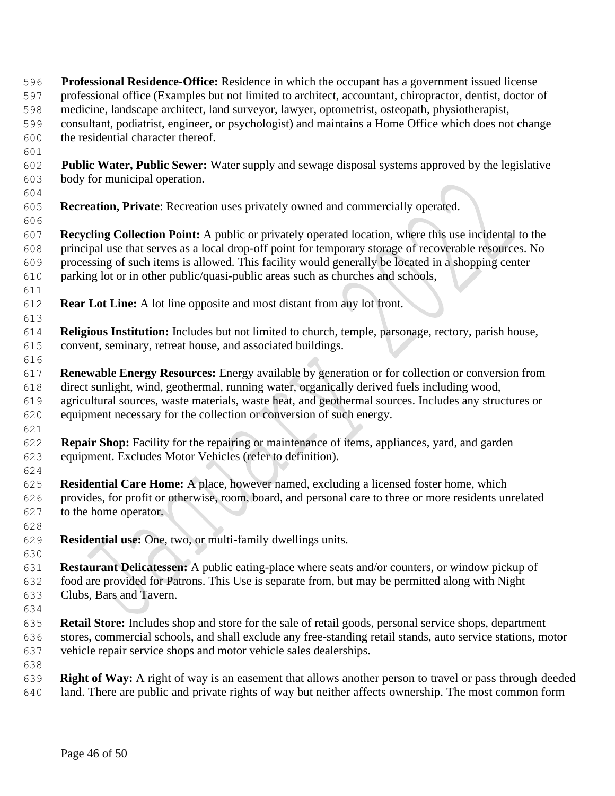- **Professional Residence-Office:** Residence in which the occupant has a government issued license professional office (Examples but not limited to architect, accountant, chiropractor, dentist, doctor of medicine, landscape architect, land surveyor, lawyer, optometrist, osteopath, physiotherapist, consultant, podiatrist, engineer, or psychologist) and maintains a Home Office which does not change the residential character thereof.
- **Public Water, Public Sewer:** Water supply and sewage disposal systems approved by the legislative body for municipal operation.
- **Recreation, Private**: Recreation uses privately owned and commercially operated.

 **Recycling Collection Point:** A public or privately operated location, where this use incidental to the principal use that serves as a local drop-off point for temporary storage of recoverable resources. No processing of such items is allowed. This facility would generally be located in a shopping center parking lot or in other public/quasi-public areas such as churches and schools,

- **Rear Lot Line:** A lot line opposite and most distant from any lot front.
- **Religious Institution:** Includes but not limited to church, temple, parsonage, rectory, parish house, convent, seminary, retreat house, and associated buildings.
- **Renewable Energy Resources:** Energy available by generation or for collection or conversion from direct sunlight, wind, geothermal, running water, organically derived fuels including wood, agricultural sources, waste materials, waste heat, and geothermal sources. Includes any structures or equipment necessary for the collection or conversion of such energy.
- **Repair Shop:** Facility for the repairing or maintenance of items, appliances, yard, and garden equipment. Excludes Motor Vehicles (refer to definition).
- **Residential Care Home:** A place, however named, excluding a licensed foster home, which provides, for profit or otherwise, room, board, and personal care to three or more residents unrelated to the home operator.
- 

- **Residential use:** One, two, or multi-family dwellings units.
- **Restaurant Delicatessen:** A public eating-place where seats and/or counters, or window pickup of food are provided for Patrons. This Use is separate from, but may be permitted along with Night Clubs, Bars and Tavern.
- **Retail Store:** Includes shop and store for the sale of retail goods, personal service shops, department stores, commercial schools, and shall exclude any free-standing retail stands, auto service stations, motor vehicle repair service shops and motor vehicle sales dealerships.
- **Right of Way:** A right of way is an easement that allows another person to travel or pass through deeded land. There are public and private rights of way but neither affects ownership. The most common form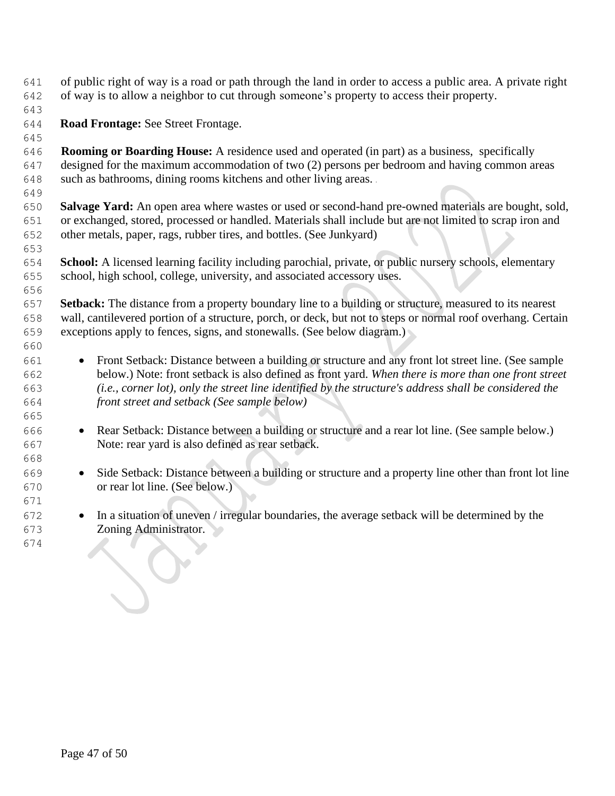of public right of way is a road or path through the land in order to access a public area. A private right of way is to allow a neighbor to cut through someone's property to access their property.

**Road Frontage:** See Street Frontage.

 **Rooming or Boarding House:** A residence used and operated (in part) as a business, specifically designed for the maximum accommodation of two (2) persons per bedroom and having common areas such as bathrooms, dining rooms kitchens and other living areas.

 **Salvage Yard:** An open area where wastes or used or second-hand pre-owned materials are bought, sold, or exchanged, stored, processed or handled. Materials shall include but are not limited to scrap iron and other metals, paper, rags, rubber tires, and bottles. (See Junkyard)

 **School:** A licensed learning facility including parochial, private, or public nursery schools, elementary school, high school, college, university, and associated accessory uses.

 **Setback:** The distance from a property boundary line to a building or structure, measured to its nearest wall, cantilevered portion of a structure, porch, or deck, but not to steps or normal roof overhang. Certain exceptions apply to fences, signs, and stonewalls. (See below diagram.)

- Front Setback: Distance between a building or structure and any front lot street line. (See sample below.) Note: front setback is also defined as front yard. *When there is more than one front street (i.e., corner lot), only the street line identified by the structure's address shall be considered the front street and setback (See sample below)*
- Rear Setback: Distance between a building or structure and a rear lot line. (See sample below.) Note: rear yard is also defined as rear setback.
- Side Setback: Distance between a building or structure and a property line other than front lot line or rear lot line. (See below.)
- In a situation of uneven / irregular boundaries, the average setback will be determined by the Zoning Administrator.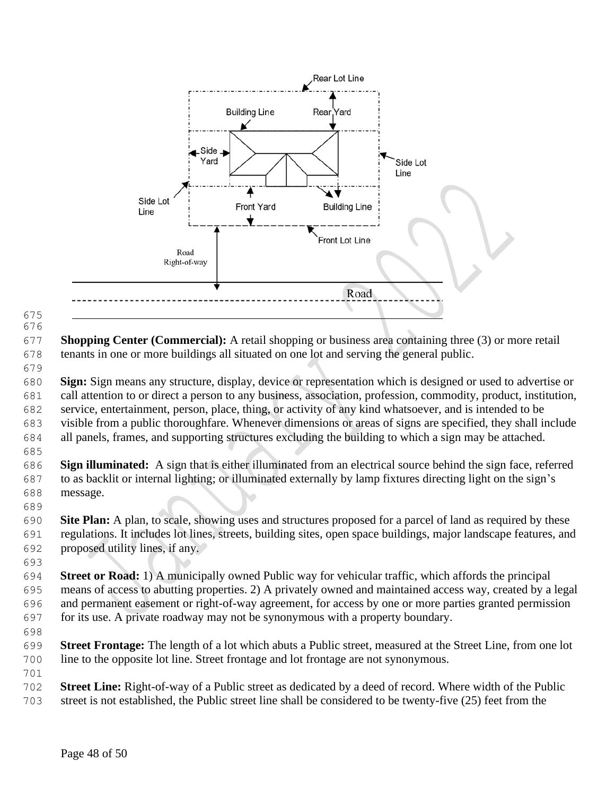

 

 **Shopping Center (Commercial):** A retail shopping or business area containing three (3) or more retail tenants in one or more buildings all situated on one lot and serving the general public.

 **Sign:** Sign means any structure, display, device or representation which is designed or used to advertise or call attention to or direct a person to any business, association, profession, commodity, product, institution, service, entertainment, person, place, thing, or activity of any kind whatsoever, and is intended to be visible from a public thoroughfare. Whenever dimensions or areas of signs are specified, they shall include all panels, frames, and supporting structures excluding the building to which a sign may be attached.

 **Sign illuminated:** A sign that is either illuminated from an electrical source behind the sign face, referred to as backlit or internal lighting; or illuminated externally by lamp fixtures directing light on the sign's message.

 **Site Plan:** A plan, to scale, showing uses and structures proposed for a parcel of land as required by these regulations. It includes lot lines, streets, building sites, open space buildings, major landscape features, and proposed utility lines, if any.

 **Street or Road:** 1) A municipally owned Public way for vehicular traffic, which affords the principal means of access to abutting properties. 2) A privately owned and maintained access way, created by a legal and permanent easement or right-of-way agreement, for access by one or more parties granted permission for its use. A private roadway may not be synonymous with a property boundary.

 **Street Frontage:** The length of a lot which abuts a Public street, measured at the Street Line, from one lot line to the opposite lot line. Street frontage and lot frontage are not synonymous.

 **Street Line:** Right-of-way of a Public street as dedicated by a deed of record. Where width of the Public street is not established, the Public street line shall be considered to be twenty-five (25) feet from the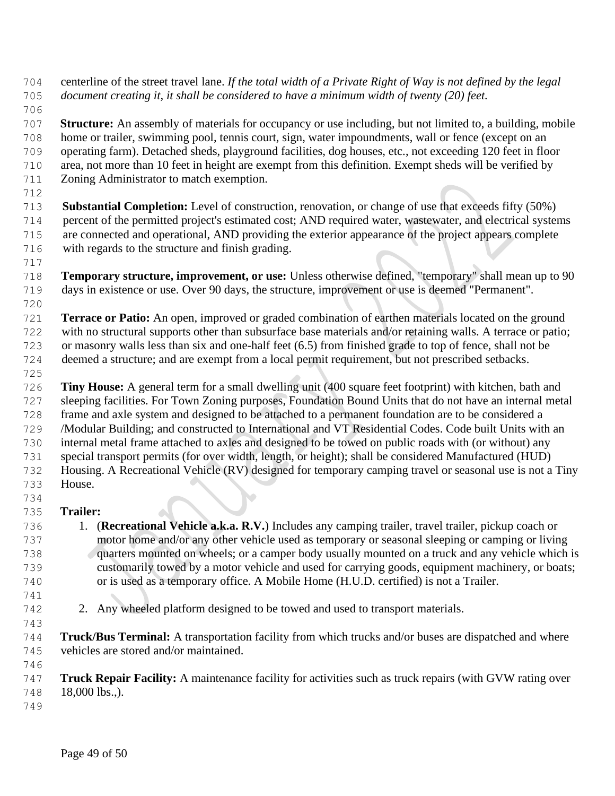- centerline of the street travel lane. *If the total width of a Private Right of Way is not defined by the legal document creating it, it shall be considered to have a minimum width of twenty (20) feet.*
- 

 **Structure:** An assembly of materials for occupancy or use including, but not limited to, a building, mobile home or trailer, swimming pool, tennis court, sign, water impoundments, wall or fence (except on an operating farm). Detached sheds, playground facilities, dog houses, etc., not exceeding 120 feet in floor area, not more than 10 feet in height are exempt from this definition. Exempt sheds will be verified by

 Zoning Administrator to match exemption. 

 **Substantial Completion:** Level of construction, renovation, or change of use that exceeds fifty (50%) percent of the permitted project's estimated cost; AND required water, wastewater, and electrical systems are connected and operational, AND providing the exterior appearance of the project appears complete with regards to the structure and finish grading.

- **Temporary structure, improvement, or use:** Unless otherwise defined, "temporary" shall mean up to 90 days in existence or use. Over 90 days, the structure, improvement or use is deemed "Permanent".
- 

 **Terrace or Patio:** An open, improved or graded combination of earthen materials located on the ground with no structural supports other than subsurface base materials and/or retaining walls. A terrace or patio; or masonry walls less than six and one-half feet (6.5) from finished grade to top of fence, shall not be deemed a structure; and are exempt from a local permit requirement, but not prescribed setbacks.

 **Tiny House:** A general term for a small dwelling unit (400 square feet footprint) with kitchen, bath and sleeping facilities. For Town Zoning purposes, Foundation Bound Units that do not have an internal metal frame and axle system and designed to be attached to a permanent foundation are to be considered a /Modular Building; and constructed to International and VT Residential Codes. Code built Units with an internal metal frame attached to axles and designed to be towed on public roads with (or without) any special transport permits (for over width, length, or height); shall be considered Manufactured (HUD) Housing. A Recreational Vehicle (RV) designed for temporary camping travel or seasonal use is not a Tiny House. 

# **Trailer:**

- 1. (**Recreational Vehicle a.k.a. R.V.**) Includes any camping trailer, travel trailer, pickup coach or motor home and/or any other vehicle used as temporary or seasonal sleeping or camping or living quarters mounted on wheels; or a camper body usually mounted on a truck and any vehicle which is customarily towed by a motor vehicle and used for carrying goods, equipment machinery, or boats; or is used as a temporary office. A Mobile Home (H.U.D. certified) is not a Trailer.
- 
- 2. Any wheeled platform designed to be towed and used to transport materials.
- **Truck/Bus Terminal:** A transportation facility from which trucks and/or buses are dispatched and where vehicles are stored and/or maintained.
- **Truck Repair Facility:** A maintenance facility for activities such as truck repairs (with GVW rating over 18,000 lbs.,).
-